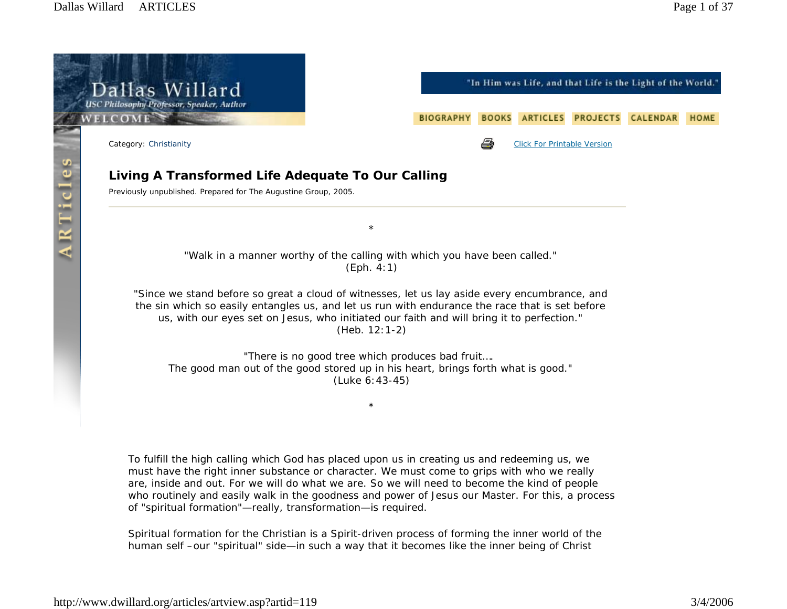

To fulfill the high calling which God has placed upon us in creating us and redeeming us, we must have the right inner substance or character. We must come to grips with who we really are, inside and out. For we *will* do what we are. So we will need to become the kind of people who *routinely and easily* walk in the goodness and power of Jesus our Master. For this, a process of "spiritual formation"—really, *trans*formation—is required.

Spiritual formation for the Christian is a Spirit-driven process of forming the inner world of the human self –our "spiritual" side—in such a way that it becomes like the inner being of Christ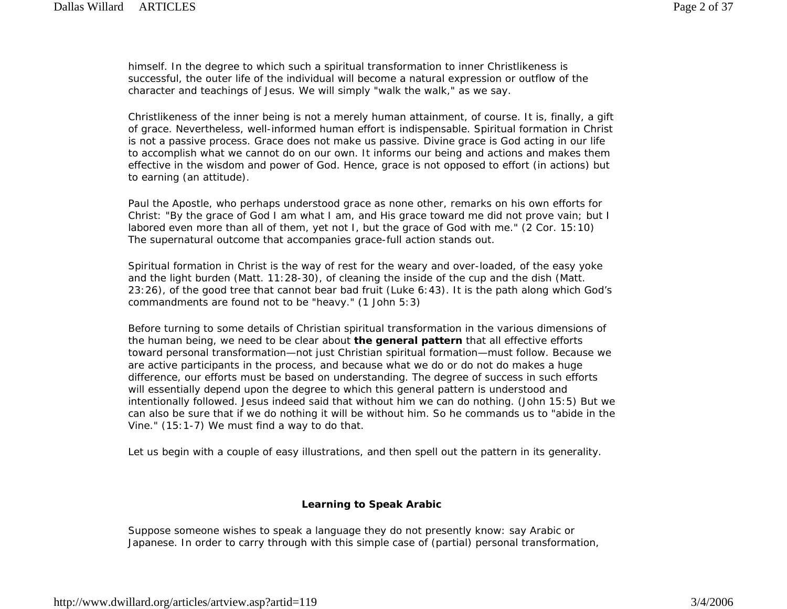himself. In the degree to which such a spiritual transformation to inner Christlikeness is successful, the outer life of the individual will become a natural expression or outflow of the character and teachings of Jesus. We will simply "walk the walk," as we say.

Christlikeness of the inner being is not a merely human attainment, of course. It is, finally, a gift of grace. Nevertheless, well-informed human effort is indispensable. Spiritual formation in Christ is not a passive process. Grace does not make us passive. Divine grace is *God acting in our life to accomplish what we cannot do on our own.* It informs our being and actions and makes them effective in the wisdom and power of God. Hence, grace is not opposed to *effort* (in actions) but to *earning* (an attitude).

Paul the Apostle, who perhaps understood grace as none other, remarks on his own efforts for Christ: "By the grace of God I am what I am, and His grace toward me did not prove vain; but I labored even more than all of them, yet not I, but the grace of God with me." (2 Cor. 15:10) The supernatural outcome that accompanies *grace-full* action stands out.

Spiritual formation in Christ is the way of rest for the weary and over-loaded, of the easy yoke and the light burden (Matt. 11:28-30), of cleaning the inside of the cup and the dish (Matt. 23:26), of the good tree that cannot bear bad fruit (Luke 6:43). It is the path along which God's commandments are found not to be "heavy." (1 John 5:3)

Before turning to some details of Christian spiritual transformation in the various dimensions of the human being, we need to be clear about **the general pattern** that all effective efforts toward personal transformation—not just Christian spiritual formation—must follow. Because we are active participants in the process, and because what we do or do not do makes a huge difference, our efforts must be based on understanding. The degree of success in such efforts will essentially depend upon the degree to which this general pattern is understood and intentionally followed. Jesus indeed said that without him we can do nothing. (John 15:5) But we can also be sure that if we do nothing it will be without him. So he *commands* us to "abide in the Vine." (15:1-7) We must find a way to do that.

Let us begin with a couple of easy illustrations, and then spell out the pattern in its generality.

### **Learning to Speak Arabic**

Suppose someone wishes to speak a language they do not presently know: say Arabic or Japanese. In order to carry through with this simple case of (partial) personal transformation,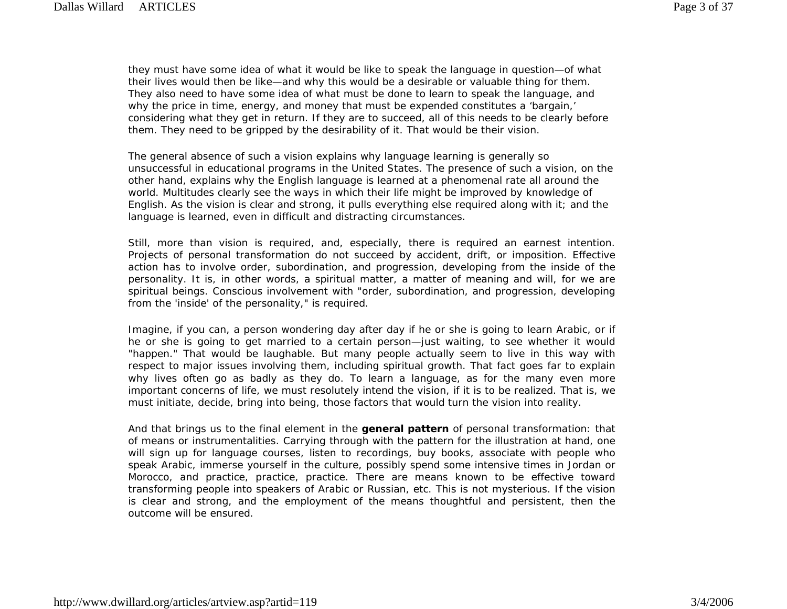they must have some idea of what it would be like to speak the language in question—of what their lives would then be like—and why this would be a desirable or valuable thing for them. They also need to have some idea of what must be done to learn to speak the language, and why the price in time, energy, and money that must be expended constitutes a 'bargain,' considering what they get in return. If they are to succeed, all of this needs to be clearly before them. They need to be gripped by the desirability of it. That would be their *vision*.

The general absence of such a *vision* explains why language learning is generally so unsuccessful in educational programs in the United States. The presence of such a vision, on the other hand, explains why the English language is learned at a phenomenal rate all around the world. Multitudes clearly see the ways in which their life might be improved by knowledge of English. As the vision is clear and strong, it pulls everything else required along with it; and the language is learned, even in difficult and distracting circumstances.

Still, more than vision is required, and, especially, there is required an earnest *intention*. Projects of personal transformation do not succeed by accident, drift, or imposition. Effective action has to involve order, subordination, and progression, developing from the inside of the personality. It is, in other words, a spiritual matter, a matter of meaning and will, for we are spiritual beings. Conscious involvement with "order, subordination, and progression, developing from the 'inside' of the personality," is required.

Imagine, if you can, a person wondering day after day if he or she is going to learn Arabic, or if he or she is going to get married to a certain person—just waiting, to see whether it would "happen." That would be laughable. But many people actually seem to live in this way with respect to major issues involving them, including spiritual growth. That fact goes far to explain why lives often go as badly as they do. To learn a language, as for the many even more important concerns of life, we must resolutely *intend* the vision, if it is to be realized. That is, we must initiate, decide, bring into being, those factors that would turn the vision into reality.

And that brings us to the final element in the **general pattern** of personal transformation: that of *means* or instrumentalities. Carrying through with the pattern for the illustration at hand, one will sign up for language courses, listen to recordings, buy books, associate with people who speak Arabic, immerse yourself in the culture, possibly spend some intensive times in Jordan or Morocco, and practice, practice, practice. There are means known to be effective toward transforming people into speakers of Arabic or Russian, etc. This is not mysterious. If the vision is clear and strong, and the employment of the means thoughtful and persistent, then the outcome will be ensured.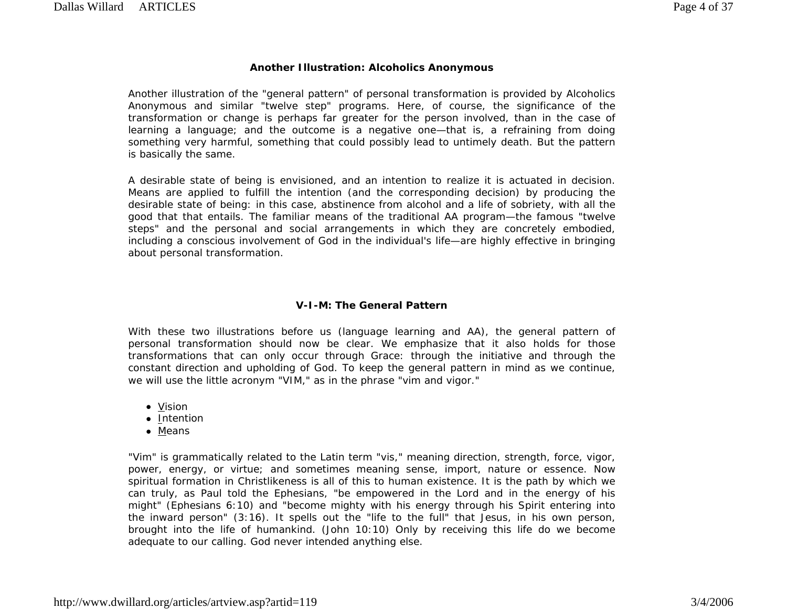### **Another Illustration: Alcoholics Anonymous**

Another illustration of the "general pattern" of personal transformation is provided by Alcoholics Anonymous and similar "twelve step" programs. Here, of course, the significance of the transformation or change is perhaps far greater for the person involved, than in the case of learning a language; and the outcome is a negative one—that is, a *refraining* from doing something very harmful, something that could possibly lead to untimely death. But the pattern is basically the same.

A desirable state of being is envisioned, and an intention to realize it is actuated in decision. Means are applied to fulfill the intention (and the corresponding decision) by producing the desirable state of being: in this case, abstinence from alcohol and a life of sobriety, with all the good that that entails. The familiar means of the traditional AA program—the famous "twelve steps" and the personal and social arrangements in which they are concretely embodied, including a conscious involvement of God in the individual's life—are highly effective in bringing about personal transformation.

### **V-I-M: The General Pattern**

With these two illustrations before us (language learning and AA), the general pattern of personal transformation should now be clear. We emphasize that it also holds for those transformations that can only occur through Grace: through the initiative and through the constant direction and upholding of God. To keep the general pattern in mind as we continue, we will use the little acronym "VIM," as in the phrase "vim and vigor."

- $\bullet\,$  Vision  $\,$
- Intention
- $\bullet$  Means

"Vim" is grammatically related to the Latin term "vis," meaning direction, strength, force, vigor, power, energy, or virtue; and sometimes meaning sense, import, nature or essence. Now spiritual formation in Christlikeness is all of this to human existence. It is the path by which we can truly, as Paul told the Ephesians, "be empowered in the Lord and in the energy of his might" (Ephesians 6:10) and "become mighty with his energy through his Spirit entering into the inward person" (3:16). It spells out the "life to the full" that Jesus, in his own person, brought into the life of humankind. (John 10:10) Only by receiving this life do we become adequate to our calling. God never intended anything else.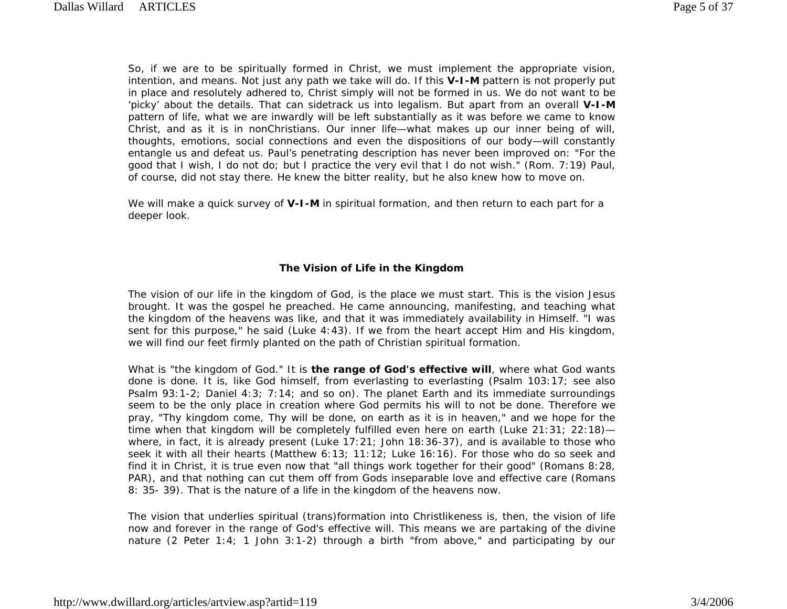So, if we are to be spiritually formed in Christ, we must implement the appropriate vision, intention, and means. Not just any path we take will do. If this **V-I-M** pattern is not properly put in place and resolutely adhered to, Christ simply will not be formed in us. We do not want to be 'picky' about the details. That can sidetrack us into legalism. But apart from an overall **V-I-M** pattern of life, what we are inwardly will be *left substantially as it was* before we came to know Christ, and as it is in nonChristians. Our inner life—what makes up our inner being of *will*, *thoughts*, *emotions*, *social connections* and even the *dispositions of our body*—will constantly entangle us and defeat us. Paul's penetrating description has never been improved on: "For the good that I wish, I do not do; but I practice the very evil that I do not wish." (Rom. 7:19) Paul, of course, did not stay there. He knew the bitter reality, but he also knew how to move on.

We will make a quick survey of **V-I-M** in spiritual formation, and then return to each part for a deeper look.

### **The Vision of Life in the Kingdom**

The *vision* of our life in the kingdom of God, is the place we must start. This is the vision Jesus brought. It was the *gospel* he preached. He came announcing, manifesting, and teaching what the kingdom of the heavens was like, and that it was immediately availability in Himself. "I was sent for this purpose," he said (Luke 4:43). If we from the heart accept Him and His kingdom, we will find our feet firmly planted on the path of Christian spiritual formation.

What is "the kingdom of God." It is **the range of God's effective will**, where what God wants done is done. It is, like God himself, from everlasting to everlasting (Psalm 103:17; see also Psalm 93:1-2; Daniel 4:3; 7:14; and so on). The planet Earth and its immediate surroundings seem to be the only place in creation where God *permits* his will to *not* be done. Therefore we pray, "Thy kingdom come, Thy will be done, on earth as it is in heaven," and we hope for the time when that kingdom will be completely fulfilled even here on earth (Luke 21:31; 22:18)where, in fact, it *is* already present (Luke 17:21; John 18:36-37), and is available to those who seek it with all their hearts (Matthew 6:13; 11:12; Luke 16:16). For those who do so seek and find it in Christ, it is true even now that "all things work together for their good" (Romans 8:28, PAR), and that nothing can cut them off from Gods inseparable love and effective care (Romans 8: 35- 39). That is the nature of a life in the kingdom of the heavens *now*.

The vision that underlies spiritual (trans)formation into Christlikeness is, then, the vision of life now and forever in the range of God's effective will. This means we are *partaking* of the divine nature (2 Peter 1:4; 1 John 3:1-2) through a birth "from above," and *participating* by our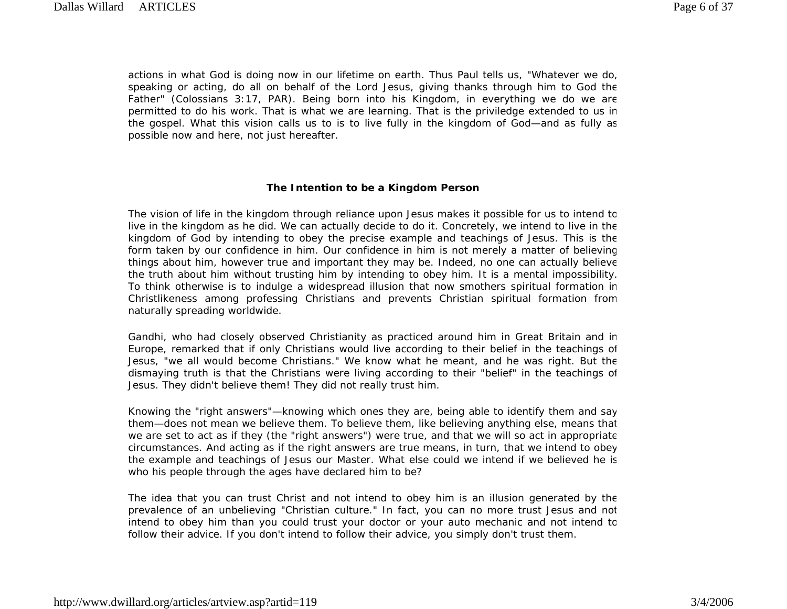actions in what God is doing now in our lifetime on earth. Thus Paul tells us, "Whatever we do, speaking or acting, do all on behalf of the Lord Jesus, giving thanks through him to God the Father" (Colossians 3:17, PAR). Being born into his Kingdom, in everything we do we are permitted to do his work. That is what we are learning. That is the priviledge extended to us in the gospel. What this vision calls us to is to live fully in the kingdom of God—and as fully as possible *now* and *here,* not just hereafter.

### **The** *Intention* **to be a Kingdom Person**

The vision of life in the kingdom through reliance upon Jesus makes it possible for us to *intend* to live in the kingdom as he did. We can actually *decide* to do it. Concretely, we intend to live in the kingdom of God by *intending to obey* the precise example and teachings of Jesus. This is the form taken by our confidence in him. Our confidence in him is not merely a matter of believing things *about* him, however true and important they may be. Indeed, no one can actually believe the truth about him without trusting him by intending to obey him. It is a mental impossibility. To think otherwise is to indulge a widespread illusion that now smothers spiritual formation in Christlikeness among professing Christians and prevents Christian spiritual formation from naturally spreading worldwide.

Gandhi, who had closely observed Christianity as practiced around him in Great Britain and in Europe, remarked that if only Christians would live according to their belief in the teachings of Jesus, "we all would become Christians." We know what he meant, and he was right. But the dismaying truth is that the Christians *were* living according to their "belief" in the teachings of Jesus. They *didn't* believe them! They did not really trust him.

Knowing the "right answers"—knowing *which* ones they are, being able to identify them and say them—does not mean we *believe* them. To believe them, like believing anything else, means that we are set to act as if they (the "right answers") were true, and that we will so act in appropriate circumstances. And acting as if the right answers are true means, in turn, that we intend to obey the example and teachings of Jesus our Master. What else *could* we intend if we believed he is who his people through the ages have declared him to be?

The idea that you can trust Christ and not intend to obey him is an illusion generated by the prevalence of an unbelieving "Christian culture." In fact, you can no more trust Jesus and not intend to obey him than you could trust your doctor or your auto mechanic and not intend to follow their advice. If you don't intend to follow their advice, you simply don't trust them.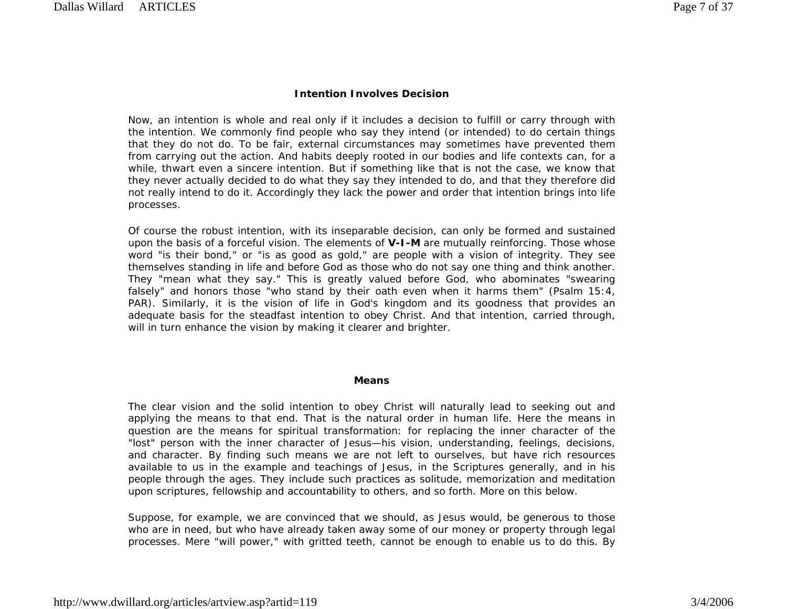### **Intention Involves Decision**

Now, an intention is whole and real only if it includes a decision to fulfill or carry through with the intention. We commonly find people who say they intend (or intended) to do certain things that they do not do. To be fair, external circumstances may sometimes have prevented them from carrying out the action. And habits deeply rooted in our bodies and life contexts can, for a while, thwart even a sincere intention. But if something like that is not the case, we know that they never actually decided to do what they say they intended to do, and that they therefore did not really intend to do it. Accordingly they lack the power and order that intention brings into life processes.

Of course the robust intention, with its inseparable decision, can only be formed and sustained upon the basis of a forceful vision. The elements of **V-I-M** are mutually reinforcing. Those whose word "is their bond," or "is as good as gold," are people with a vision of integrity. They *see* themselves standing in life and before God as those who do not say one thing and think another. They "mean what they say." This is greatly valued before God, who abominates "swearing falsely" and honors those "who stand by their oath even when it harms them" (Psalm 15:4, PAR). Similarly, it is the vision of life in God's kingdom and its goodness that provides an adequate basis for the steadfast intention to obey Christ. And that intention, carried through, will in turn enhance the vision by making it clearer and brighter.

### **Means**

The clear vision and the solid intention to obey Christ will naturally lead to seeking out and applying the *means* to that end. That is the natural order in human life. Here the means in question are the means for *spiritual* transformation: for replacing the inner character of the "lost" person with the inner character of Jesus—his vision, understanding, feelings, decisions, and character. By finding such means we are not left to ourselves, but have rich resources available to us in the example and teachings of Jesus, in the Scriptures generally, and in his people through the ages. They include such practices as solitude, memorization and meditation upon scriptures, fellowship and accountability to others, and so forth. More on this below.

Suppose, for example, we are convinced that we should, as Jesus would, be generous to those who are in need, but who have already taken away some of our money or property through legal processes. Mere "will power," with gritted teeth, cannot be enough to enable us to do this. By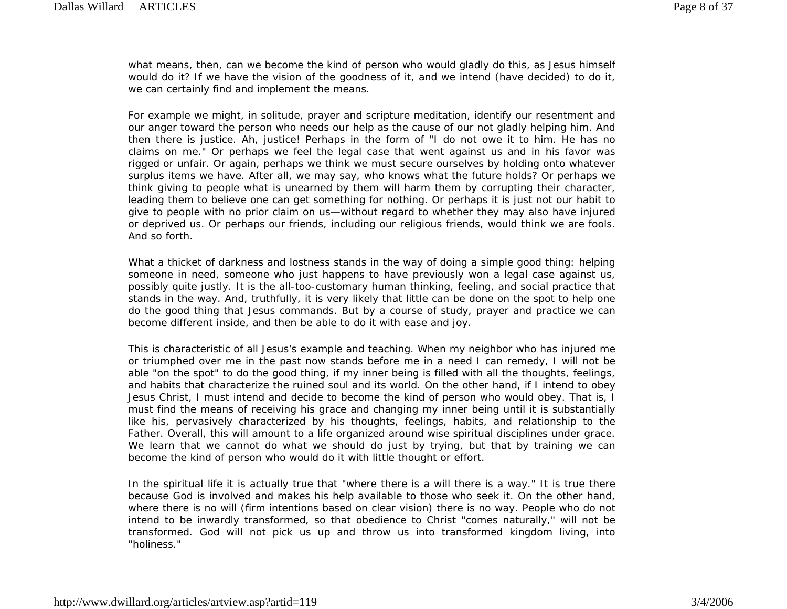what means, then, can we become the kind of person who would gladly do this, as Jesus himself would do it? If we have the *vision* of the goodness of it, and we *intend* (have decided) to do it, we can certainly find and implement the *means*.

For example we might, in solitude, prayer and scripture meditation, identify our resentment and our anger toward the person who needs our help as the cause of our not gladly helping him. And then there is *justice*. Ah, justice! Perhaps in the form of "I do not owe it to him. He has no claims on me." Or perhaps we feel the legal case that went against us and in his favor was rigged or unfair. Or again, perhaps we think we must secure ourselves by holding onto whatever surplus items we have. After all, we may say, who knows what the future holds? Or perhaps we think giving to people what is unearned by them will harm them by corrupting their character, leading them to believe one can get something for nothing. Or perhaps it is just not our habit to give to people with no prior claim on us—without regard to whether they may also have injured or deprived us. Or perhaps our friends, including our religious friends, would think we are fools. And so forth.

What a thicket of darkness and lostness stands in the way of doing a simple good thing: helping someone in need, someone who just happens to have previously won a legal case against us, possibly quite justly. It is the all-too-customary human thinking, feeling, and social practice that stands in the way. And, truthfully, it is very likely that little can be done *on the spot* to help one do the good thing that Jesus commands. But by a course of study, prayer and practice we can become different inside, and then be able to do it with ease and joy.

This is characteristic of all Jesus's example and teaching. When my neighbor who has injured me or triumphed over me in the past now stands before me in a need I can remedy, I will not be able "on the spot" to do the good thing, if my inner being is filled with all the thoughts, feelings, and habits that characterize the ruined soul and its world. On the other hand, if I intend to obey Jesus Christ, I must intend and decide to *become the kind of person who would* obey. That is, I must find the means of receiving his grace and changing my inner being until it is substantially like his, pervasively characterized by his thoughts, feelings, habits, and relationship to the Father. Overall, this will amount to a life organized around wise *spiritual disciplines under grace*. We learn that we cannot do what we should do just by *trying*, but that by *training* we can become the kind of person who would do it with little thought or effort.

In the spiritual life it is actually true that "where there is a will there is a way." It is true there because God is involved and makes his help available to those who seek it. On the other hand, where there is no will (firm intentions based on clear vision) there is no way. People who do not intend to be inwardly transformed, so that obedience to Christ "comes naturally," will not be transformed. God will not pick us up and throw us into transformed kingdom living, into "holiness."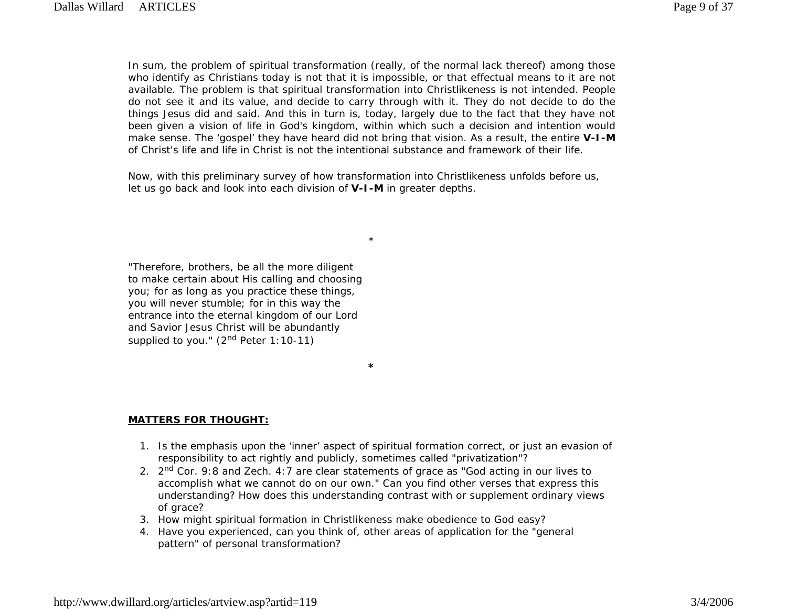In sum, the problem of spiritual transformation (really, of the normal lack thereof) among those who identify as Christians today is not that it is impossible, or that effectual means to it are not available. The problem is that spiritual transformation into Christlikeness is not intended. People do not see it and its value, and decide to carry through with it. They do not decide to do the things Jesus did and said. And this in turn is, today, largely due to the fact that they have not been given a vision of life in God's kingdom, within which such a decision and intention would make sense. The 'gospel' they have heard did not bring that vision. As a result, the entire **V-I-M** of Christ's life and life in Christ is not the intentional substance and framework of their life.

Now, with this preliminary survey of how transformation into Christlikeness unfolds before us, let us go back and look into each division of **V-I-M** in greater depths.

\*

"Therefore, brothers, be all the more diligent to make certain about His calling and choosing you; for as long as you practice these things, you will never stumble; for in this way the entrance into the eternal kingdom of our Lord and Savior Jesus Christ will be abundantly supplied to you."  $(2^{nd}$  Peter 1:10-11)

# **MATTERS FOR THOUGHT:**

1. Is the emphasis upon the 'inner' aspect of spiritual formation correct, or just an evasion of responsibility to act rightly and publicly, sometimes called "privatization"?

**\*** 

- 2.  $2^{nd}$  Cor. 9:8 and Zech. 4:7 are clear statements of grace as "God acting in our lives to accomplish what we cannot do on our own." Can you find other verses that express this understanding? How does this understanding contrast with or supplement ordinary views of grace?
- 3. How might spiritual formation in Christlikeness make obedience to God easy?
- 4. Have you experienced, can you think of, other areas of application for the "general pattern" of personal transformation?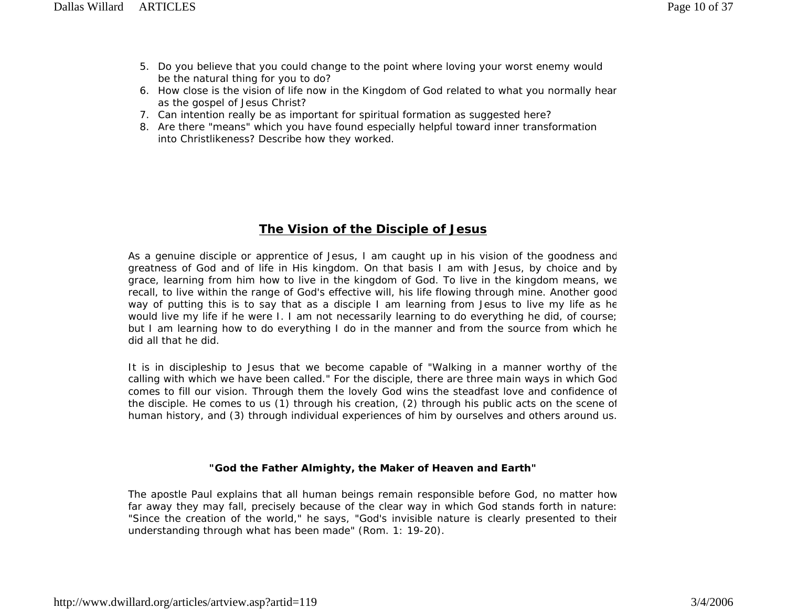- 5. Do you believe that you could change to the point where loving your worst enemy would be the natural thing for you to do?
- 6. How close is the vision of life now in the Kingdom of God related to what you normally hear as the gospel of Jesus Christ?
- 7. Can intention really be as important for spiritual formation as suggested here?
- 8. Are there "means" which you have found especially helpful toward inner transformation into Christlikeness? Describe how they worked.

# **The Vision of the Disciple of Jesus**

As a genuine disciple or apprentice of Jesus, I am caught up in his *vision* of the goodness and greatness of God and of life in His kingdom. On that basis I am *with* Jesus, by choice and by grace, learning from him *how to live in the kingdom of God*. To live in the kingdom means, we recall, to live within the range of God's effective will, his life flowing through mine. Another good way of putting this is to say that as a disciple *I am learning from Jesus to live my life as he would live my life if he were I*. I am not necessarily learning to do everything he did, of course; but I am learning how to do everything *I* do in the manner and from the source from which he did all that he did.

It is in discipleship to Jesus that we become capable of "Walking in a manner worthy of the calling with which we have been called." For the disciple, there are three main ways in which God comes to fill our vision. Through them the lovely God wins the steadfast love and confidence of the disciple. He comes to us (1) through his creation, (2) through his public acts on the scene of human history, and (3) through individual experiences of him by ourselves and others around us.

# **"God the Father Almighty, the Maker of Heaven and Earth"**

The apostle Paul explains that all human beings remain responsible before God, no matter how far away they may fall, precisely because of the clear way in which God stands forth in nature: "Since the creation of the world," he says, "God's invisible nature is clearly presented to their understanding through what has been made" (Rom. 1: 19-20).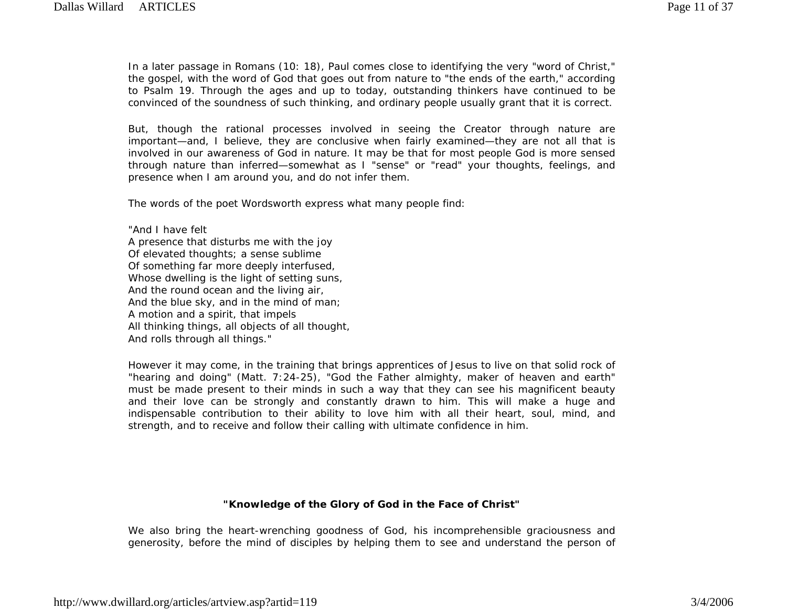In a later passage in Romans (10: 18), Paul comes close to identifying the very "word of Christ," the gospel, with the word of God that goes out from nature to "the ends of the earth," according to Psalm 19. Through the ages and up to today, outstanding thinkers have continued to be convinced of the soundness of such thinking, and ordinary people usually grant that it is correct.

But, though the rational processes involved in seeing the Creator through nature are important—and, I believe, they are conclusive when fairly examined—they are not all that is involved in our awareness of God in nature. It may be that for most people God is more *sensed* through nature than *inferred*—somewhat as I "sense" or "read" your thoughts, feelings, and presence when I am around you, and do not infer them.

The words of the poet Wordsworth express what many people find:

"And I have felt A presence that disturbs me with the joy Of elevated thoughts; a sense sublime Of something far more deeply interfused, Whose dwelling is the light of setting suns, And the round ocean and the living air, And the blue sky, and in the mind of man; A motion and a spirit, that impels All thinking things, all objects of all thought, And rolls through all things."

However it may come, in the training that brings apprentices of Jesus to live on that solid rock of "hearing and doing" (Matt. 7:24-25), "God the Father almighty, maker of heaven and earth" must be made present to their minds in such a way that they can see his magnificent beauty and their love can be strongly and constantly drawn to him. This will make a huge and indispensable contribution to their ability to love him with all their heart, soul, mind, and strength, and to receive and follow their calling with ultimate confidence in him.

# **"Knowledge of the Glory of God in the Face of Christ"**

We also bring the heart-wrenching goodness of God, his incomprehensible graciousness and generosity, before the mind of disciples by helping them to see and understand the person of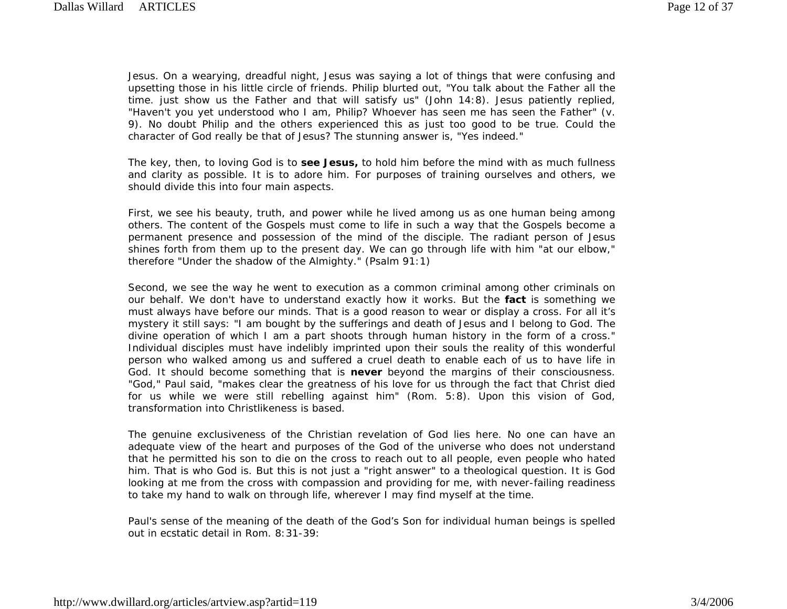Jesus. On a wearying, dreadful night, Jesus was saying a lot of things that were confusing and upsetting those in his little circle of friends. Philip blurted out, "You talk about the Father all the time. just show us the Father and that will satisfy us" (John 14:8). Jesus patiently replied, "Haven't you yet understood who I am, Philip? Whoever has seen me has seen the Father" (v. 9). No doubt Philip and the others experienced this as just too good to be true. Could the character of God really be that of Jesus? The stunning answer is, "Yes indeed."

The key, then, to loving God is to *see Jesus,* to hold him before the mind with as much fullness and clarity as possible. It is to adore him. For purposes of training ourselves and others, we should divide this into four main aspects.

First, we see his beauty, truth, and power while he lived among us as one human being among others. The content of the Gospels must come to life in such a way that the Gospels become a permanent presence and possession of the mind of the disciple. The radiant person of Jesus shines forth from them up to the present day. We can go through life with him "at our elbow," therefore "Under the shadow of the Almighty." (Psalm 91:1)

Second, we see the way he went to execution as a common criminal among other criminals on our behalf. We don't have to understand exactly how it works. But the *fact* is something we must always have before our minds. That is a good reason to wear or display a cross. For all it's mystery it still says: "I am bought by the sufferings and death of Jesus and I belong to God. The divine operation of which I am a part shoots through human history in the form of a cross." Individual disciples must have indelibly imprinted upon their souls the reality of this wonderful person who walked among us and suffered a cruel death to enable each of us to have life in God. It should become something that is *never* beyond the margins of their consciousness. "God," Paul said, "makes clear the greatness of his love for us through the fact that Christ died for us while we were still rebelling against him" (Rom. 5:8). Upon this vision of God, transformation into Christlikeness is based.

The genuine exclusiveness of the Christian revelation of God lies here. No one can have an adequate view of the heart and purposes of the God of the universe who does not understand that he permitted his son to die on the cross to reach out to all people, even people who hated him. That is who God is. But this is not just a "right answer" to a theological question. It is God looking at *me* from the cross with compassion and providing for me, with never-failing readiness to take my hand to walk on through life, wherever I may find myself at the time.

Paul's sense of the meaning of the death of the God's Son for individual human beings is spelled out in ecstatic detail in Rom. 8:31-39: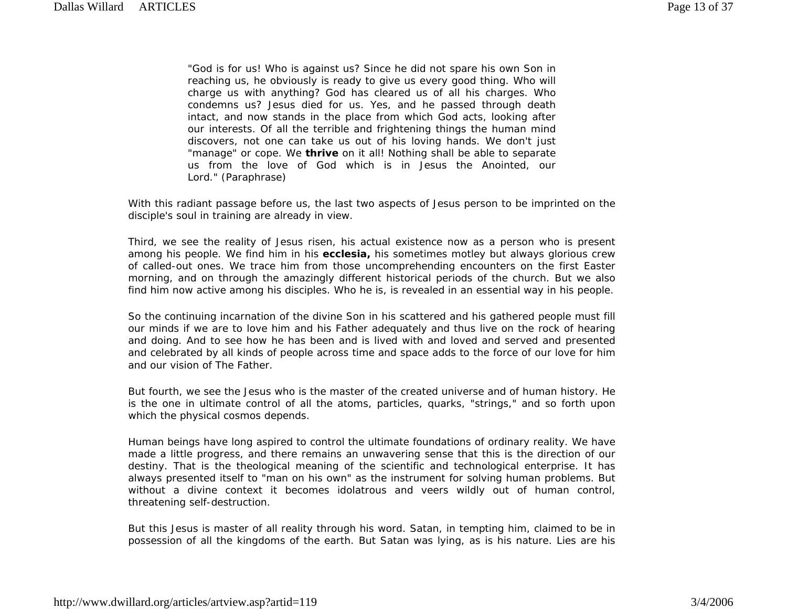"God is for us! Who is against us? Since he did not spare his own Son in reaching us, he obviously is ready to give us every good thing. Who will charge us with anything? God has cleared us of all his charges. Who condemns us? Jesus died for us. Yes, and he passed through death intact, and now stands in the place from which God acts, looking after our interests. Of all the terrible and frightening things the human mind discovers, not one can take us out of his loving hands. We don't just "manage" or cope. We *thrive* on it all! Nothing shall be able to separate us from the love of God which is in Jesus the Anointed, our Lord." (Paraphrase)

With this radiant passa ge before us, the last two aspects of Jesus person to be imprinted on the disciple's soul in training are already in view.

Third, we see the reality of Jesus risen, his actual existence now as a person who is present among his people. We find him in his *ecclesia,* his sometimes motley but always glorious crew of called-out ones. We trace him from those uncomprehendin g encounters on the first Easter morning, and on through the amazingly different historical periods of the church. But we also find him now active among his disciples. Who he is, is revealed in an essential way in his people.

So the continuin g incarnation of the divine Son in his scattered and his gathered people must fill our minds if we are to love him and his Father adequately and thus live on the rock of hearin g and doin g. And to see how he has been and is lived with and loved and served and presented and celebrated by all kinds of people across time and space adds to the force of our love for him and our vision of The Father.

But fourth, we see the Jesus who is the master of the created universe and of human history. He is the one in ultimate control of all the atoms, particles, quarks, "strin gs," and so forth upon which the physical cosmos depends.

Human bein gs have lon g aspired to control the ultimate foundations of ordinary reality. We have made a little pro gress, and there remains an unwaverin g sense that this is the direction of our destiny. That is the theological meaning of the scientific and technological enterprise. It has always presented itself to "man on his own" as the instrument for solvin g human problems. But without a divine context it becomes idolatrous and veers wildly out of human control, threatening self-destruction.

But this Jesus is master of all reality through his word. Satan, in tempting him, claimed to be in possession of all the kingdoms of the earth. But Satan was lying, as is his nature. Lies are his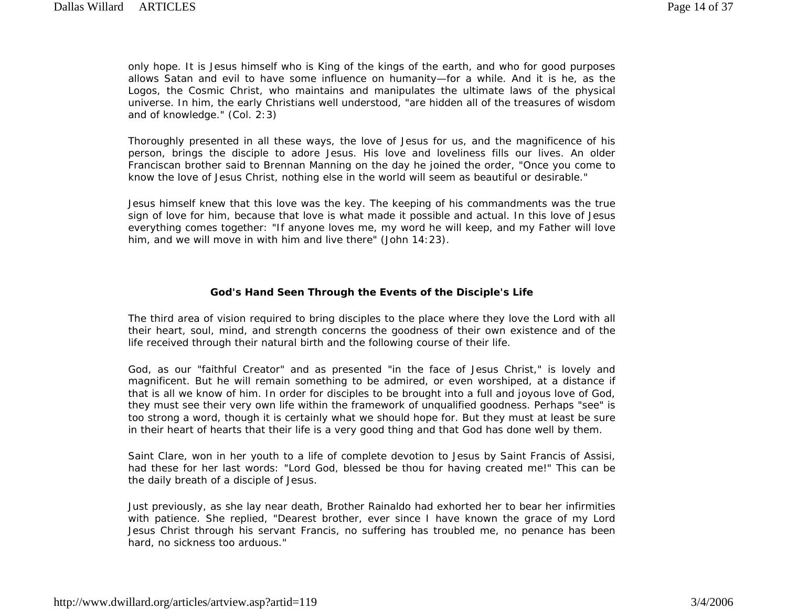only hope. It is Jesus himself who is King of the kings of the earth, and who for good purposes allows Satan and evil to have some influence on humanity—for a while. And it is he, as the Logos, the Cosmic Christ, who maintains and manipulates the ultimate laws of the physical universe. In him, the early Christians well understood, "are hidden all of the treasures of wisdom and of knowledge." (Col. 2:3)

Thoroughly presented in all these ways, the love of Jesus for us, and the magnificence of his person, brings the disciple to adore Jesus. His love and loveliness fills our lives. An older Franciscan brother said to Brennan Manning on the day he joined the order, "Once you come to know the love of Jesus Christ, nothing else in the world will seem as beautiful or desirable."

Jesus himself knew that this love was the key. The keeping of his commandments was the true sign of love for him, because that love is what made it possible and actual. In this love of Jesus everything comes together: "If anyone loves me, my word he will keep, and my Father will love him, and we will move in with him and live there" (John 14:23).

### **God's Hand Seen Through the Events of the Disciple's Life**

The third area of vision required to bring disciples to the place where they love the Lord with all their heart, soul, mind, and strength concerns the goodness of their own existence and of the life received through their natural birth and the following course of their life.

God, as our "faithful Creator" and as presented "in the face of Jesus Christ," is lovely and magnificent. But he will remain something to be admired, or even worshiped, at a distance if that is all we know of him. In order for disciples to be brought into a full and joyous love of God, they must see their very own life within the framework of unqualified goodness. Perhaps "see" is too strong a word, though it is certainly what we should hope for. But they must at least be sure in their heart of hearts that *their* life is a very good thing and that God has done well by them.

Saint Clare, won in her youth to a life of complete devotion to Jesus by Saint Francis of Assisi, had these for her last words: "Lord God, blessed be thou for having created me!" This can be the daily breath of a disciple of Jesus.

Just previously, as she lay near death, Brother Rainaldo had exhorted her to bear her infirmities with patience. She replied, "Dearest brother, ever since I have known the grace of my Lord Jesus Christ through his servant Francis, no suffering has troubled me, no penance has been hard, no sickness too arduous."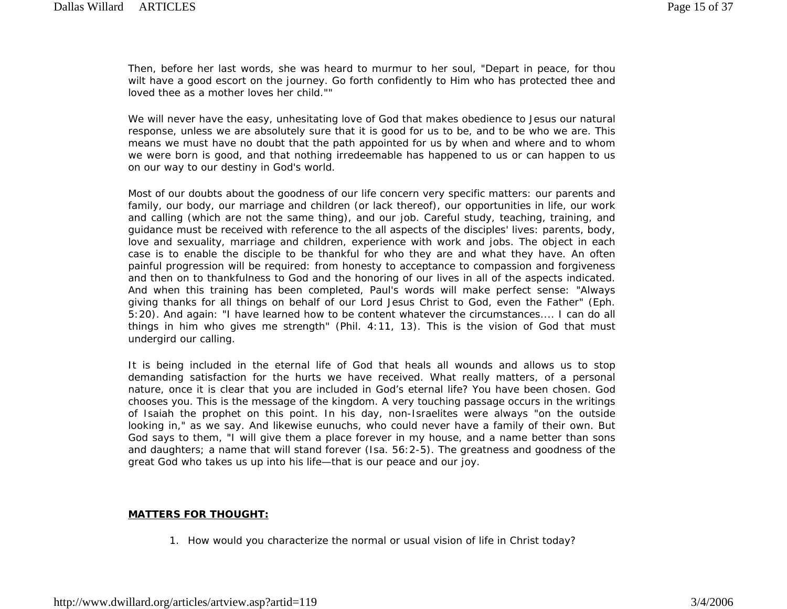Then, before her last words, she was heard to murmur to her soul, "Depart in peace, for thou wilt have a good escort on the journey. Go forth confidently to Him who has protected thee and loved thee as a mother loves her child.""

We will never have the easy, unhesitating love of God that makes obedience to Jesus our natural response, unless we are absolutely sure that it is good for us to be, and to be who we are. This means we must have no doubt that the path appointed for us by when and where and to whom we were born is good, and that nothing irredeemable has happened to us or can happen to us on our way to our destiny in God's world.

Most of our doubts about the goodness of our life concern very specific matters: our parents and family, our body, our marriage and children (or lack thereof), our opportunities in life, our work and calling (which are not the same thing), and our job. Careful study, teaching, training, and guidance must be received with reference to the all aspects of the disciples' lives: parents, body, love and sexuality, marriage and children, experience with work and jobs. The object in each case is to enable the disciple to be thankful for who they are and what they have. An often painful progression will be required: from honesty to acceptance to compassion and forgiveness and then on to thankfulness to God and the honoring of our lives in all of the aspects indicated. And when this training has been completed, Paul's words will make perfect sense: "Always giving thanks for all things on behalf of our Lord Jesus Christ to God, even the Father" (Eph. 5:20). And again: "I have learned how to be content whatever the circumstances.... I can do all things in him who gives me strength" (Phil. 4:11, 13). This is the vision of God that must undergird our calling.

It is being included in the eternal life of God that heals all wounds and allows us to stop demanding satisfaction for the hurts we have received. What *really* matters, of a personal nature, once it is clear that you are included in God's eternal life? You have been chosen. God chooses you. This is the message of the kingdom. A very touching passage occurs in the writings of Isaiah the prophet on this point. In his day, non-Israelites were always "on the outside looking in," as we say. And likewise eunuchs, who could never have a family of their own. But God says to them, "I will give them a place forever in my house, and a name better than sons and daughters; a name that will stand forever (Isa. 56:2-5). The greatness and goodness of the great God who takes us up into his life—that is our peace and our joy.

### **MATTERS FOR THOUGHT:**

1. How would you characterize the normal or usual vision of life in Christ today?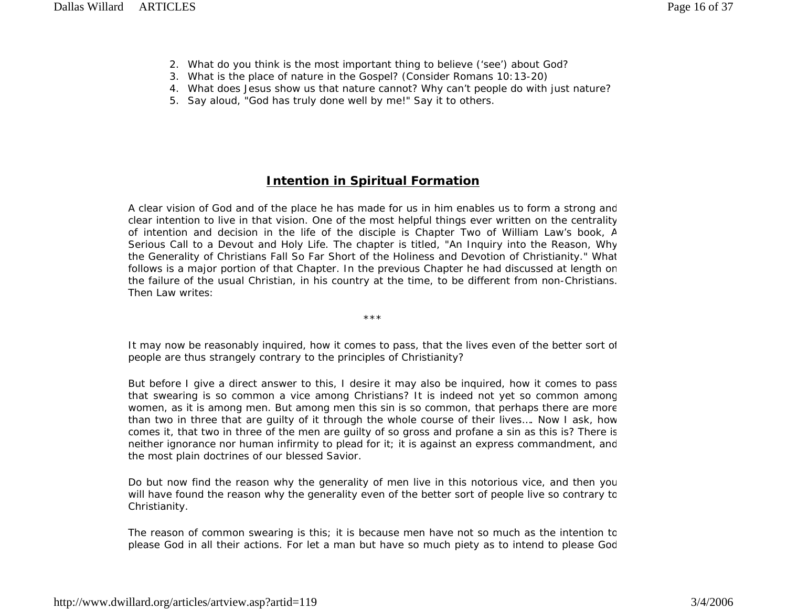- 2. What do you think is the most important thing to believe ('see') about God?
- 3. What is the place of *nature* in the Gospel? (Consider Romans 10:13-20)
- 4. What does Jesus show us that nature cannot? Why can't people do with just nature?
- 5. Say aloud, "God has truly done well by me!" Say it to others.

# **Intention in Spiritual Formation**

A clear vision of God and of the place he has made for us in him enables us to form a strong and clear intention to live in that vision. One of the most helpful things ever written on *the centrality of intention and decision* in the life of the disciple is Chapter Two of William Law's book, *A Serious Call to a Devout and Holy Life*. The chapter is titled, "An Inquiry into the Reason, Why the Generality of Christians Fall So Far Short of the Holiness and Devotion of Christianity." What follows is a major portion of that Chapter. In the previous Chapter he had discussed at length on the failure of the usual Christian, in his country at the time, to be different from non-Christians. Then Law writes:

\*\*\*

It may now be reasonably inquired, how it comes to pass, that the lives even of the better sort of people are thus strangely contrary to the principles of Christianity?

But before I give a direct answer to this, I desire it may also be inquired, how it comes to pass that *swearing* is so common a vice among Christians? It is indeed not yet so common among women, as it is among men. But among men this sin is so common, that perhaps there are more than two in three that are guilty of it through the whole course of their lives…. Now I ask, how comes it, that two in three of the men are guilty of so gross and profane a sin as this is? There is neither ignorance nor human infirmity to plead for it; it is against an express commandment, and the most plain doctrines of our blessed Savior.

Do but now find the reason why the generality of men live in this notorious vice, and then you will have found the reason why the generality even of the better sort of people live so contrary to Christianity.

The reason of common swearing is this; it is because men have not so much as the intention to please God in all their actions. For let a man but have so much piety as to intend to please God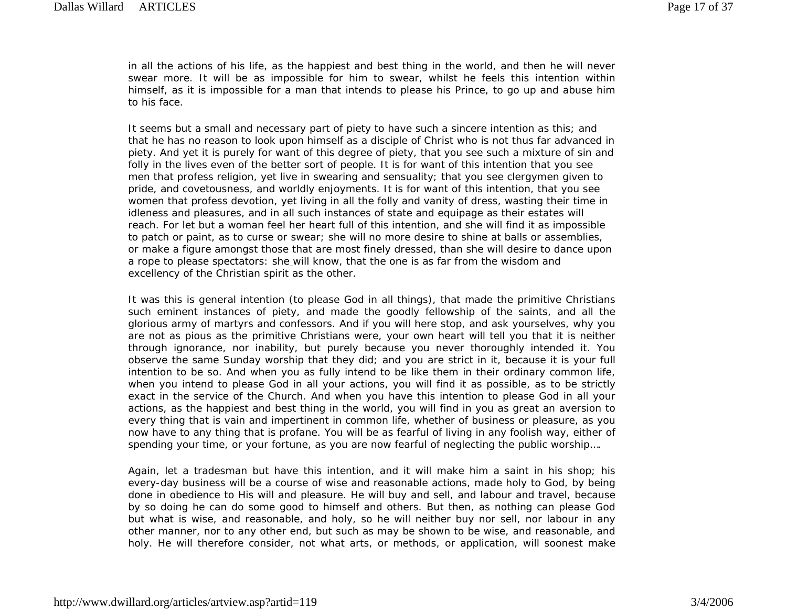in all the actions of his life, as the happiest and best thing in the world, and then he will never swear more. It will be as impossible for him to swear, whilst he feels this intention within himself, as it is impossible for a man that intends to please his Prince, to go up and abuse him to his face.

It seems but a small and necessary part of piety to have such a sincere intention as this; and that he has no reason to look upon himself as a disciple of Christ who is not thus far advanced in piety. And yet it is purely for want of this degree of piety, that you see such a mixture of sin and folly in the lives even of the better sort of people. It is for want of this intention that you see men that profess religion, yet live in swearing and sensuality; that you see clergymen given to pride, and covetousness, and worldly enjoyments. It is for want of this intention, that you see women that profess devotion, yet living in all the folly and vanity of dress, wasting their time in idleness and pleasures, and in all such instances of state and equipage as their estates will reach. For let but a woman feel her heart full of this intention, and she will find it as impossible to patch or paint, as to curse or swear; she will no more desire to shine at balls or assemblies, or make a figure amongst those that are most finely dressed, than she will desire to dance upon a rope to please spectators: she will know, that the one is as far from the wisdom and excellency of the Christian spirit as the other.

It was this is general intention (to please God in all things), that made the primitive Christians such eminent instances of piety, and made the goodly fellowship of the saints, and all the glorious army of martyrs and confessors. And if you will here stop, and ask yourselves, why you are not as pious as the primitive Christians were, your own heart will tell you that it is neither through ignorance, nor inability, but purely because you never thoroughly intended it. You observe the same Sunday worship that they did; and you are strict in it, because it is your full intention to be so. And when you as fully intend to be like them in their ordinary common life, when you intend to please God in all your actions, you will find it as possible, as to be strictly exact in the service of the Church. And when you have this intention to please God in all your actions, as the happiest and best thing in the world, you will find in you as great an aversion to every thing that is vain and impertinent in common life, whether of business or pleasure, as you now have to any thing that is profane. You will be as fearful of living in any foolish way, either of spending your time, or your fortune, as you are now fearful of neglecting the public worship….

Again, let a tradesman but have this intention, and it will make him a saint in his shop; his every-day business will be a course of wise and reasonable actions, made holy to God, by being done in obedience to His will and pleasure. He will buy and sell, and labour and travel, because by so doing he can do some good to himself and others. But then, as nothing can please God but what is wise, and reasonable, and holy, so he will neither buy nor sell, nor labour in any other manner, nor to any other end, but such as may be shown to be wise, and reasonable, and holy. He will therefore consider, not what arts, or methods, or application, will soonest make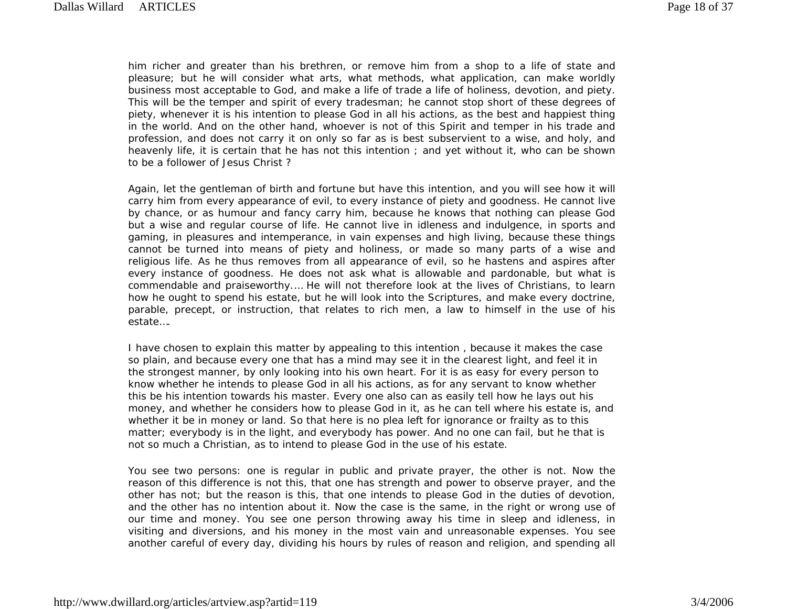him richer and greater than his brethren, or remove him from a shop to a life of state and pleasure; but he will consider what arts, what methods, what application, can make worldly business most acceptable to God, and make a life of trade a life of holiness, devotion, and piety. This will be the temper and spirit of every tradesman; he cannot stop short of these degrees of piety, whenever it is his intention to please God in all his actions, as the best and happiest thing in the world. And on the other hand, whoever is not of this Spirit and temper in his trade and profession, and does not carry it on only so far as is best subservient to a wise, and holy, and heavenly life, it is certain that he has not this intention; and yet without it, who can be shown to be a follower of Jesus Christ ?

Again, let the gentleman of birth and fortune but have this intention, and you will see how it will carry him from every appearance of evil, to every instance of piety and goodness. He cannot live by chance, or as humour and fancy carry him, because he knows that nothing can please God but a wise and regular course of life. He cannot live in idleness and indulgence, in sports and gaming, in pleasures and intemperance, in vain expenses and high living, because these things cannot be turned into means of piety and holiness, or made so many parts of a wise and religious life. As he thus removes from all appearance of evil, so he hastens and aspires after every instance of goodness. He does not ask what is allowable and pardonable, but what is commendable and praiseworthy.… He will not therefore look at the lives of Christians, to learn how he ought to spend his estate, but he will look into the Scriptures, and make every doctrine, parable, precept, or instruction, that relates to rich men, a law to himself in the use of his estate….

I have chosen to explain this matter by appealing to this intention , because it makes the case so plain, and because every one that has a mind may see it in the clearest light, and feel it in the strongest manner, by only looking into his own heart. For it is as easy for every person to know whether he intends to please God in all his actions, as for any servant to know whether this be his intention towards his master. Every one also can as easily tell how he lays out his money, and whether he considers how to please God in it, as he can tell where his estate is, and whether it be in money or land. So that here is no plea left for ignorance or frailty as to this matter; everybody is in the light, and everybody has power. And no one can fail, but he that is not so much a Christian, as to intend to please God in the use of his estate.

You see two persons: one is regular in public and private prayer, the other is not. Now the reason of this difference is not this, that one has strength and power to observe prayer, and the other has not; but the reason is this, that one intends to please God in the duties of devotion, and the other has no intention about it. Now the case is the same, in the right or wrong use of our time and money. You see one person throwing away his time in sleep and idleness, in visiting and diversions, and his money in the most vain and unreasonable expenses. You see another careful of every day, dividing his hours by rules of reason and religion, and spending all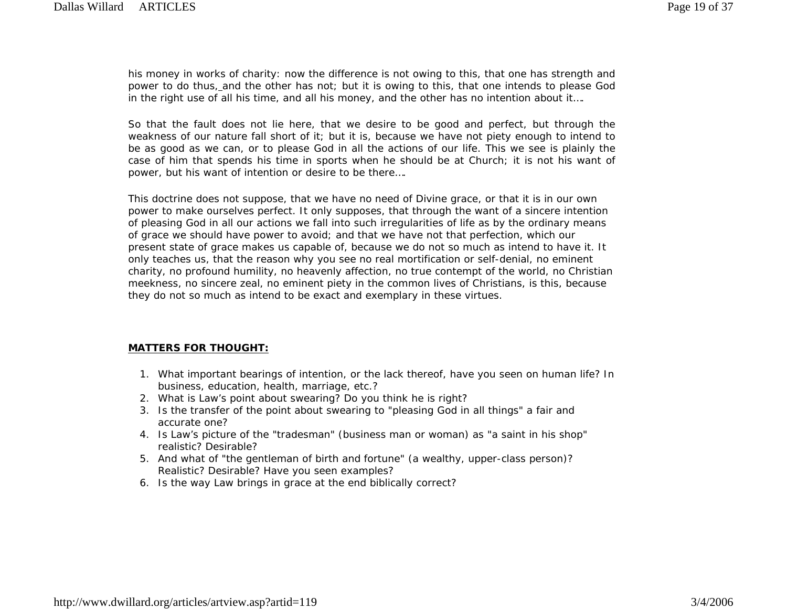his money in works of charity: now the difference is not owin g to this, that one has stren gth and power to do thus, and the other has not; but it is owin g to this, that one intends to please God in the right use of all his time, and all his money, and the other has no intention about it….

So that the fault does not lie here, that we desire to be good and perfect, but throu gh the weakness of our nature fall short of it; but it is, because we have not piety enou gh to intend to be as good as we can, or to please God in all the actions of our life. This we see is plainly the case of him that spends his time in sports when he should be at Church; it is not his want of power, but his want of intention or desire to be there….

This doctrine does not suppose, that we have no need of Divine grace, or that it is in our own power to make ourselves perfect. It only supposes, that through the want of a sincere intention of pleasing God in all our actions we fall into such irregularities of life as by the ordinary means of grace we should have power to avoid; and that we have not that perfection, which our present state of grace makes us capable of, because we do not so much as intend to have it. It only teaches us, that the reason why you see no real mortification or self-denial, no eminent charity, no profound humility, no heavenly affection, no true contempt of the world, no Christian meekness, no sincere zeal, no eminent piety in the common lives of Christians, is this, because they do not so much as intend to be exact and exemplary in these virtues.

### **MATTERS FOR THOUGHT:**

- 1. What important bearin gs of intention, or the lack thereof, have you seen on human life? In business, education, health, marriage, etc.?
- 2. What is Law's point about swearing? Do you think he is right?
- 3. Is the transfer of the point about swearing to "pleasing God in all things" a fair and accurate one?
- 4. Is Law's picture of the "tradesman" (business man or woman) as "a saint in his shop" realistic? Desirable?
- 5. And what of "the gentleman of birth and fortune" (a wealthy, upper-class person)? Realistic? Desirable? Have you seen examples?
- 6. Is the way Law brings in grace at the end biblically correct?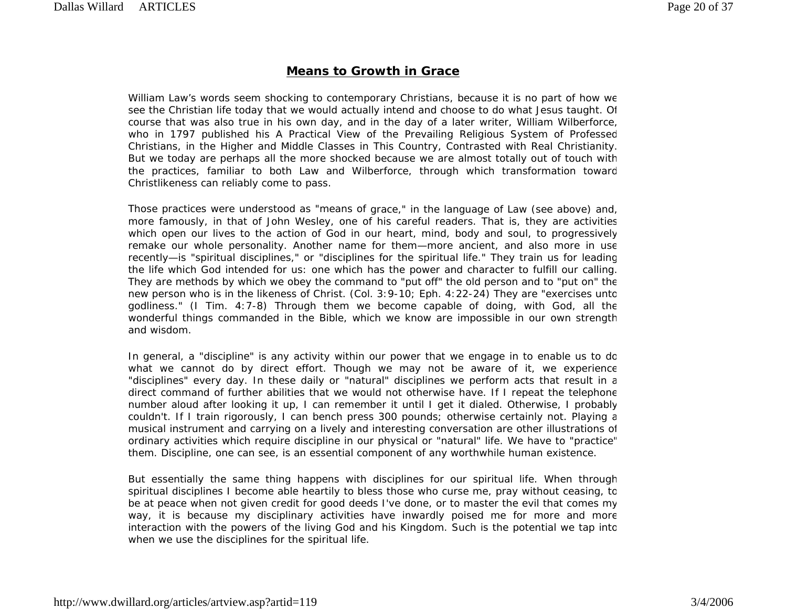# *Means* **to Growth in Grace**

William Law's words seem shocking to contemporary Christians, because it is no part of how we see the Christian life today that we would actually intend and choose to do what Jesus taught. Of course that was also true in his own day, and in the day of a later writer, William Wilberforce, who in 1797 published his *A Practical View of the Prevailing Religious System of Professed Christians, in the Higher and Middle Classes in This Country, Contrasted with Real Christianity.* But we today are perhaps all the more shocked because we are almost totally out of touch with the practices, familiar to both Law and Wilberforce, through which transformation toward Christlikeness can reliably come to pass.

Those practices were understood as "means of grace," in the language of Law (see above) and, more famously, in that of John Wesley, one of his careful readers. That is, they are activities which open our lives to the action of God in our heart, mind, body and soul, to progressively remake our whole personality. Another name for them—more ancient, and also more in use recently—is "spiritual disciplines," or "disciplines for the spiritual life." They train us for leading the life which God intended for us: one which has the power and character to fulfill our calling. They are *methods* by which we obey the command to "put off" the old person and to "put on" the new person who is in the likeness of Christ. (Col. 3:9-10; Eph. 4:22-24) They are "exercises unto godliness." (I Tim. 4:7-8) Through them we become capable of doing, with God, all the wonderful things commanded in the Bible, which we know are impossible in our own strength and wisdom.

In general, a "discipline" is *any activity within our power that we engage in to enable us to do what we cannot do by direct effort.* Though we may not be aware of it, we experience "disciplines" every day. In these daily or "natural" disciplines we perform acts that result in a direct command of further abilities that we would not otherwise have. If I repeat the telephone number aloud after looking it up, I can remember it until I get it dialed. Otherwise, I probably couldn't. If I train rigorously, I can bench press 300 pounds; otherwise certainly not. Playing <sup>a</sup> musical instrument and carrying on a lively and interesting conversation are other illustrations of ordinary activities which require discipline in our physical or "natural" life. We have to "practice" them. Discipline, one can see, is an essential component of any worthwhile human existence.

But essentially the same thing happens with disciplines for our *spiritual* life. When through spiritual disciplines I become able heartily to bless those who curse me, pray without ceasing, to be at peace when not given credit for good deeds I've done, or to master the evil that comes my way, it is because my disciplinary activities have inwardly poised me for more and more interaction with the powers of the living God and his Kingdom. Such is the potential we tap into when we use the disciplines for the spiritual life.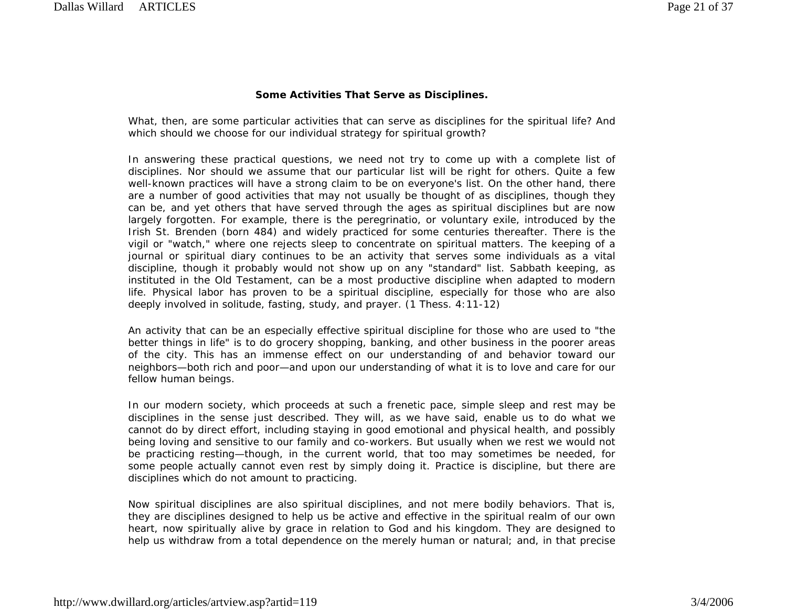### **Some Activities That Serve as Disciplines.**

What, then, are some particular activities that can serve as disciplines for the spiritual life? And which should we choose for our individual strategy for spiritual growth?

In answering these practical questions, we need not try to come up with a complete list of disciplines. Nor should we assume that *our* particular list will be right for others. Quite a few well-known practices will have a strong claim to be on everyone's list. On the other hand, there are a number of good activities that may not usually be thought of as disciplines, though they can be, and yet others that have served through the ages as spiritual disciplines but are now largely forgotten. For example, there is the *peregrinatio*, or voluntary exile, introduced by the Irish St. Brenden (born 484) and widely practiced for some centuries thereafter. There is the vigil or "watch," where one rejects sleep to concentrate on spiritual matters. The keeping of a journal or spiritual diary continues to be an activity that serves some individuals as a vital discipline, though it probably would not show up on any "standard" list. Sabbath keeping, as instituted in the Old Testament, can be a most productive discipline when adapted to modern life. Physical labor has proven to be a spiritual discipline, especially for those who are also deeply involved in solitude, fasting, study, and prayer. (1 Thess. 4:11-12)

An activity that can be an especially effective spiritual discipline for those who are used to "the better things in life" is to do grocery shopping, banking, and other business in the poorer areas of the city. This has an immense effect on our understanding of and behavior toward our neighbors—both rich and poor—and upon our understanding of what it is to love and care for our fellow human beings.

In our modern society, which proceeds at such a frenetic pace, simple sleep and rest may be disciplines in the sense just described. They will, as we have said, enable us to do what we cannot do by direct effort, including staying in good emotional and physical health, and possibly being loving and sensitive to our family and co-workers. But usually when we rest we would not be *practicing* resting—though, in the current world, that too may sometimes be needed, for some people actually cannot even rest by simply doing it. Practice is discipline, but there are disciplines which do not amount to practicing.

Now spiritual disciplines are also *spiritual* disciplines, and not mere bodily behaviors. That is, they are disciplines designed to help us be active and effective in the spiritual realm of our own heart, now spiritually alive by grace in relation to God and his kingdom. They are designed to help us withdraw from a *total* dependence on the merely human or natural; and, in that precise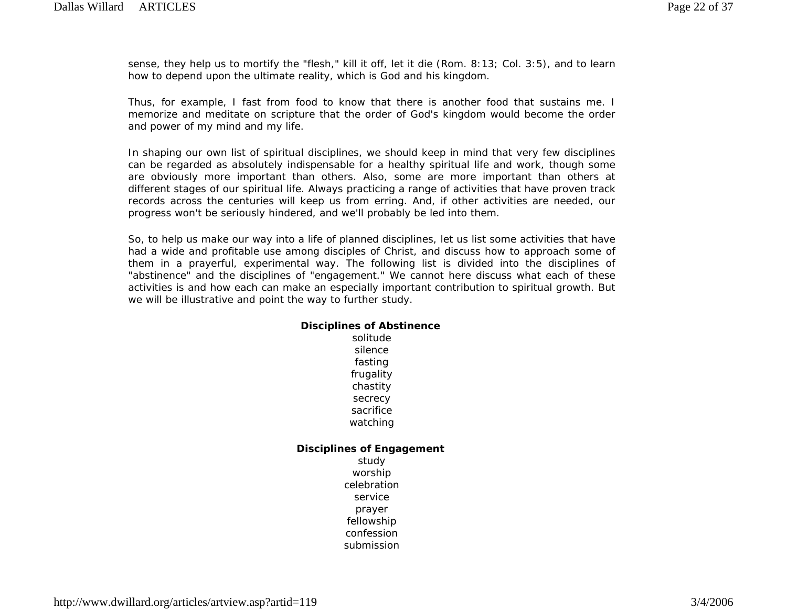sense, they help us to mortify the "flesh," kill it off, let it die (Rom. 8:13; Col. 3:5), and to learn how to depend upon the ultimate reality, which is God and his kingdom.

Thus, for example, I fast from food to know that there is another food that sustains me. I memorize and meditate on scripture that the order of God's kingdom would become the order and power of my mind and my life.

In shaping our own list of spiritual disciplines, we should keep in mind that very few disciplines can be regarded as absolutely indispensable for a healthy spiritual life and work, though some are obviously more important than others. Also, some are more important than others at different stages of our spiritual life. Always practicing a *range* of activities that have proven track records across the centuries will keep us from erring. And, if other activities are needed, our progress won't be seriously hindered, and we'll probably be led into them.

So, to help us make our way into a life of planned disciplines, let us list some activities that have had a wide and profitable use among disciples of Christ, and discuss how to approach some of them in a prayerful, experimental way. The following list is divided into the disciplines of "abstinence" and the disciplines of "engagement." We cannot here discuss what each of these activities is and how each can make an especially important contribution to spiritual growth. But we will be illustrative and point the way to further study.

### *Disciplines of Abstinence*

solitude silence fasting frugality chastity secrecy sacrifice watching

#### *Disciplines of Engagement*

study worship celebration service prayer fellowship confession submission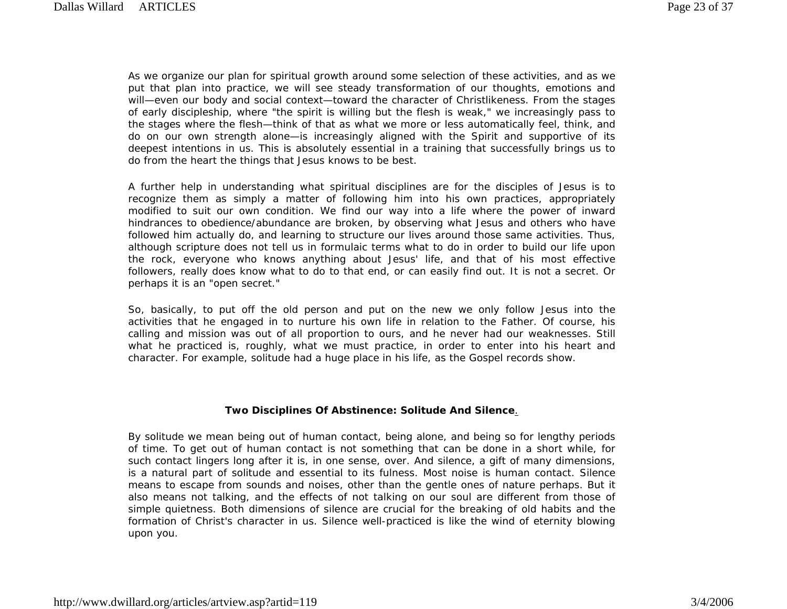As we organize our plan for spiritual growth around some selection of these activities, and as we put that plan into practice, we will see steady transformation of our thoughts, emotions and will—even our body and social context—toward the character of Christlikeness. From the stages of early discipleship, where "the spirit is willing but the flesh is weak," we increasingly pass to the stages where the flesh—think of that as what we more or less automatically feel, think, and do on our own strength alone—is increasingly aligned with the Spirit and supportive of its deepest intentions in us. This is absolutely essential in a training that successfully brings us to do from the heart the things that Jesus knows to be best.

A further help in understanding what spiritual disciplines are for the disciples of Jesus is to recognize them as simply a matter of following him into *his own practices*, appropriately modified to suit our own condition. We find our way into a life where the power of inward hindrances to obedience/abundance are broken, by observing what Jesus and others who have followed him actually do, and learning to structure our lives around those same activities. Thus, although scripture does not tell us in formulaic terms what to do in order to build our life upon the rock, everyone who knows anything about Jesus' life, and that of his most effective followers, really does know what to do to that end, or can easily find out. It is not a secret. Or perhaps it is an "open secret."

So, basically, to put off the old person and put on the new we only follow Jesus into the activities that he engaged in to nurture his own life in relation to the Father. Of course, his calling and mission was out of all proportion to ours, and he never had our weaknesses. Still what he practiced is, roughly, what we must practice, in order to enter into his heart and character. For example, solitude had a huge place in his life, as the Gospel records show.

### **Two Disciplines Of Abstinence: Solitude And Silence**.

By solitude we mean being out of human contact, being alone, and being so for lengthy periods of time. To get out of human contact is not something that can be done in a short while, for such contact lingers long after it is, in one sense, over. And silence, a gift of many dimensions, is a natural part of solitude and essential to its fulness. Most noise *is* human contact. Silence means to escape from sounds and noises, other than the gentle ones of nature perhaps. But it also means not talking, and the effects of not talking on our soul are different from those of simple quietness. Both dimensions of silence are crucial for the breaking of old habits and the formation of Christ's character in us. Silence well-practiced is like the wind of eternity blowing upon you.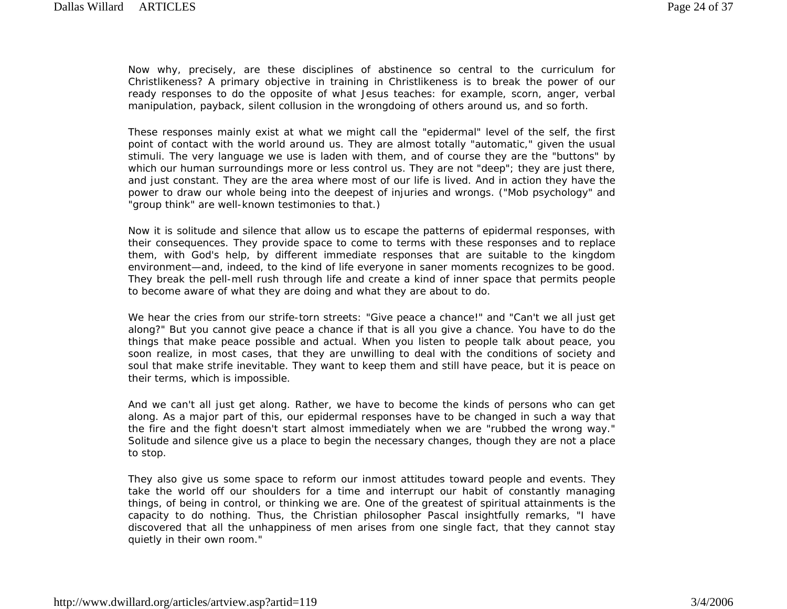Now why, precisely, are these disciplines of abstinence so central to the curriculum for Christlikeness? A primary objective in training in Christlikeness is to break the power of our ready responses to do the *opposite* of what Jesus teaches: for example, scorn, anger, verbal manipulation, payback, silent collusion in the wrongdoing of others around us, and so forth.

These responses mainly exist at what we might call the "epidermal" level of the self, the first point of contact with the world around us. They are almost totally "automatic," given the usual stimuli. The very language we use is laden with them, and of course they are the "buttons" by which our human surroundings more or less control us. They are not "deep"; they are just *there*, and just constant. They are the area where most of our life is lived. And in action they have the power to draw our whole being into the deepest of injuries and wrongs. ("Mob psychology" and "group think" are well-known testimonies to that.)

Now it is solitude and silence that allow us to escape the patterns of epidermal responses, with their consequences. They provide space to come to terms with these responses and to replace them, with God's help, by different immediate responses that are suitable to the kingdom environment—and, indeed, to the kind of life everyone in saner moments recognizes to be good. They break the pell-mell rush through life and create a kind of inner space that permits people to become aware of what they are doing and what they are *about* to do.

We hear the cries from our strife-torn streets: "Give peace a chance!" and "Can't we all just get along?" But you cannot give peace a chance if that is *all* you give a chance. You have to do the things that make peace possible and actual. When you listen to people talk about peace, you soon realize, in most cases, that they are unwilling to deal with the conditions of society and soul that make strife inevitable. They want to keep them and still have peace, but it is peace on their terms, which is impossible.

And we can't all *just* get along. Rather, we have to become the kinds of persons who can get along. As a major part of this, our epidermal responses have to be changed in such a way that the fire and the fight doesn't start almost immediately when we are "rubbed the wrong way." Solitude and silence give us a place to begin the necessary changes, though they are not a place to stop.

They also give us some space to reform our inmost attitudes toward people and events. They take the world off our shoulders for a time and interrupt our habit of constantly managing things, of being in control, or thinking we are. One of the greatest of spiritual attainments is the capacity to do nothing. Thus, the Christian philosopher Pascal insightfully remarks, "I have discovered that all the unhappiness of men arises from one single fact, that they cannot stay quietly in their own room."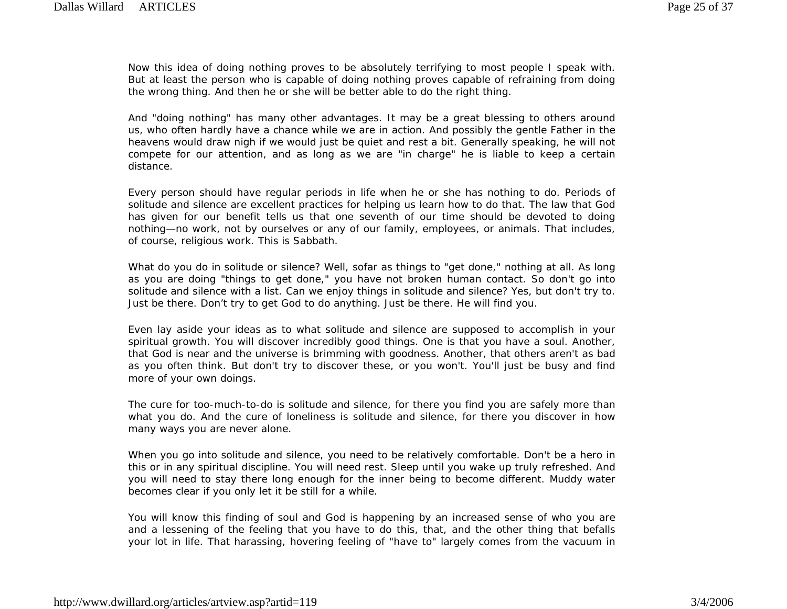Now this idea of *doing nothing* proves to be absolutely terrifying to most people I speak with. But at least the person who is capable of doing nothing proves capable of refraining from doing the wrong thing. And then he or she will be better able to do the right thing.

And "doing nothing" has many other advantages. It may be a great blessing to others around us, who often hardly have a chance while we are in action. And possibly the gentle Father in the heavens would draw nigh if we would just be quiet and rest a bit. Generally speaking, he will not compete for our attention, and as long as we are "in charge" he is liable to keep a certain distance.

Every person should have regular periods in life when he or she has nothing to do. Periods of solitude and silence are excellent practices for helping us learn how to do that. The law that God has given for our benefit tells us that one seventh of our time should be devoted to doing nothing—no work, not by ourselves or any of our family, employees, or animals. That includes, of course, religious work. This is *Sabbath*.

What do you do in solitude or silence? Well, sofar as things to "get done," *nothing at all*. As long as you are doing "things to get done," you have not broken human contact. So don't go into solitude and silence with a list. Can we enjoy things in solitude and silence? Yes, but don't try to. Just be there. Don't try to get God to do anything. Just be there. He will find you.

Even lay aside your ideas as to what solitude and silence are supposed to accomplish in your spiritual growth. You will discover incredibly good things. One is that you have a soul. Another, that God is near and the universe is brimming with goodness. Another, that others aren't as bad as you often think. But don't *try* to discover these, or you won't. You'll just be busy and find more of your own doings.

The cure for too-much-to-do is solitude and silence, for there you find you are safely more than what you do. And the cure of loneliness is solitude and silence, for there you discover in how many ways you are never alone.

When you go into solitude and silence, you need to be relatively comfortable. Don't be a hero in this or in any spiritual discipline. You will need rest. Sleep until you wake up truly refreshed. And you will need to stay there long enough for the inner being to become different. Muddy water becomes clear if you only let it be still for a while.

You will know this finding of soul and God is happening by an increased sense of who you are and a lessening of the feeling that you *have* to do this, that, and the other thing that befalls your lot in life. That harassing, hovering feeling of "have to" largely comes from the vacuum in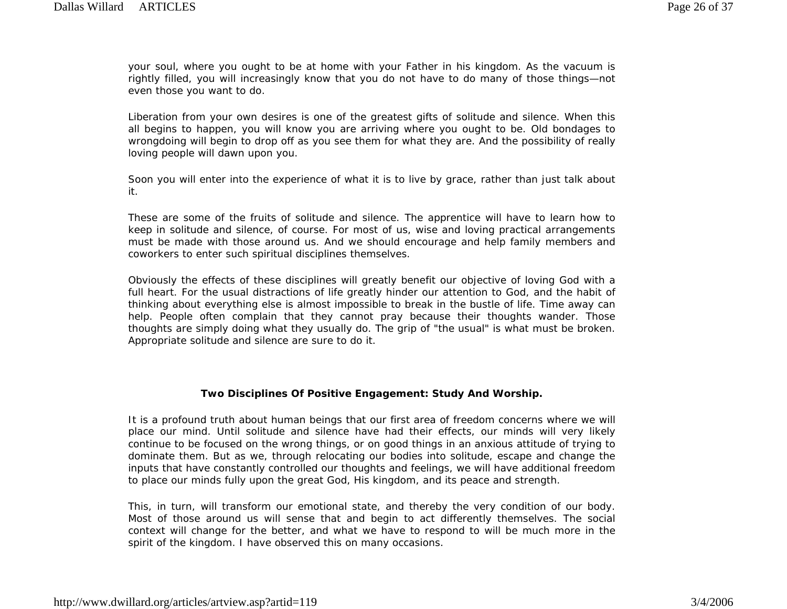your soul, where you ought to be at home with your Father in his kingdom. As the vacuum is rightly filled, you will increasingly know that you do not have to do many of those things—not even those you want to do.

Liberation from your own desires is one of the greatest gifts of solitude and silence. When this all begins to happen, you will know you are arriving where you ought to be. Old bondages to wrongdoing will begin to drop off as you see them for what they are. And the possibility of really loving people will dawn upon you.

Soon you will enter into the experience of what it is to live by grace, rather than just talk about it.

These are some of *the fruits of solitude and silence*. The apprentice will have to learn *how* to keep in solitude and silence, of course. For most of us, wise and loving practical arrangements must be made with those around us. And we should encourage and help family members and coworkers to enter such spiritual disciplines themselves.

Obviously the effects of these disciplines will greatly benefit our objective of loving God with a full heart. For the usual distractions of life greatly hinder our attention to God, and the habit of thinking about everything else is almost impossible to break in the bustle of life. Time away can help. People often complain that they cannot pray because their thoughts wander. Those thoughts are simply doing what they usually do. The grip of "the usual" is what must be broken. Appropriate solitude and silence are sure to do it.

# **Two Disciplines Of Positive Engagement: Study And Worship.**

It is a profound truth about human beings that our first area of freedom concerns where we will place our mind. Until solitude and silence have had their effects, our minds will very likely continue to be focused on the wrong things, or on good things in an anxious attitude of trying to dominate them. But as we, through relocating our bodies into solitude, escape and change the inputs that have constantly controlled our thoughts and feelings, we will have additional freedom to place our minds fully upon the great God, His kingdom, and its peace and strength.

This, in turn, will transform our emotional state, and thereby the very condition of our body. Most of those around us will sense that and begin to act differently themselves. The social context will change for the better, and what we have to respond to will be much more in the spirit of the kingdom. I have observed this on many occasions.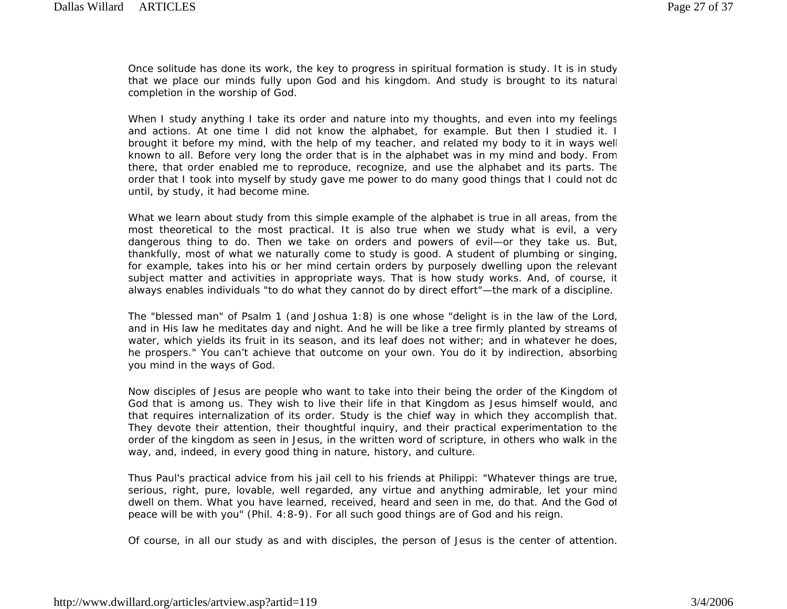Once solitude has done its work, the key to progress in spiritual formation is study. It is in study that we place our minds fully upon God and his kingdom. And study is brought to its natural completion in the worship of God.

When I study anything I take its order and nature into my thoughts, and even into my feelings and actions. At one time I did not know the alphabet, for example. But then I studied it. I brought it before my mind, with the help of my teacher, and related my body to it in ways well known to all. Before very long the order that is in the alphabet was in my mind and body. From there, that order enabled me to reproduce, recognize, and use the alphabet and its parts. The order that I took into myself by study gave me power to do many good things that I could not do until, by study, it had become mine.

What we learn about study from this simple example of the alphabet is true in all areas, from the most theoretical to the most practical. It is also true when we study what is evil, a very dangerous thing to do. Then we take on orders and powers of evil—or they take us. But, thankfully, most of what we naturally come to study is good. A student of plumbing or singing, for example, takes into his or her mind certain orders by purposely dwelling upon the relevant subject matter and activities in appropriate ways. That is how study works. And, of course, it always enables individuals "to do what they cannot do by direct effort"—the mark of a discipline.

The "blessed man" of Psalm 1 (and Joshua 1:8) is one whose "delight is in the law of the Lord, and in His law he meditates day and night. And he will be like a tree firmly planted by streams of water, which yields its fruit in its season, and its leaf does not wither; and in whatever he does, he prospers." You can't achieve that outcome on your own. You do it by indirection, absorbing you mind in the ways of God.

Now *disciples* of Jesus are people who want to take into their being the order of the Kingdom of God that is among us. They wish to *live their life in that Kingdom as Jesus himself would*, and that requires internalization of its order. Study is the chief way in which they accomplish that. They devote their attention, their thoughtful inquiry, and their practical experimentation to the order of the kingdom as seen in Jesus, in the written word of scripture, in others who walk in the way, and, indeed, in every good thing in nature, history, and culture.

Thus Paul's practical advice from his jail cell to his friends at Philippi: "Whatever things are true, serious, right, pure, lovable, well regarded, any virtue and anything admirable, *let your mind dwell on them.* What you have learned, received, heard and seen in me, do that. And the God of peace will be with you" (Phil. 4:8-9). For all such good things are of God and his reign.

Of course, in all our study as and with disciples, the person of Jesus is the center of attention.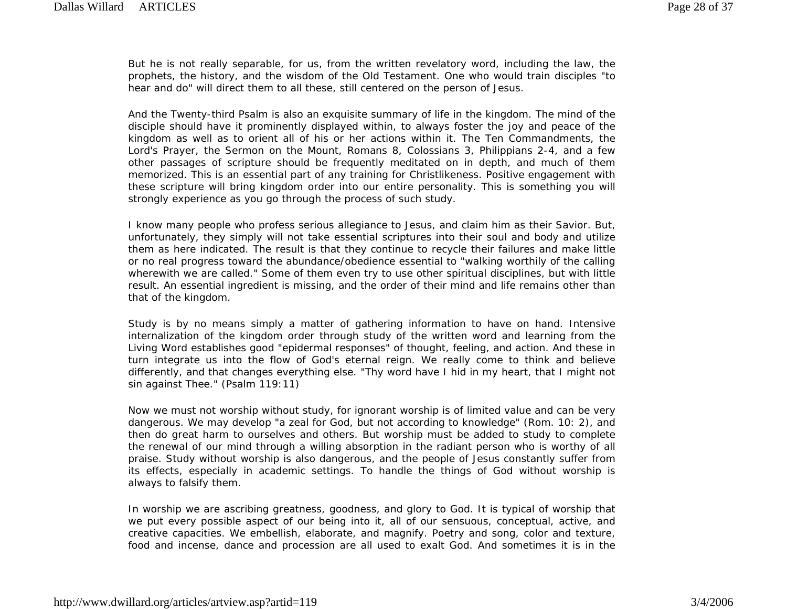But he is not really separable, for us, from the written revelatory word, including the law, the prophets, the history, and the wisdom of the Old Testament. One who would train disciples "to hear and do" will direct them to all these, still centered on the person of Jesus.

And the Twenty-third Psalm is also an exquisite summary of life in the kingdom. The mind of the disciple should have it prominently displayed within, to always foster the joy and peace of the kingdom as well as to orient all of his or her actions within it. The Ten Commandments, the Lord's Prayer, the Sermon on the Mount, Romans 8, Colossians 3, Philippians 2-4, and a few other passages of scripture should be frequently meditated on in depth, and much of them memorized. This is an essential part of any training for Christlikeness. Positive engagement with these scripture will bring kingdom order into our entire personality. This is something you will strongly *experience* as you go through the process of such study.

I know many people who profess serious allegiance to Jesus, and claim him as their Savior. But, unfortunately, they simply will not take essential scriptures into their soul and body and utilize them as here indicated. The result is that they continue to recycle their failures and make little or no real progress toward the abundance/obedience essential to "walking worthily of the calling wherewith we are called." Some of them even try to use other spiritual disciplines, but with little result. An essential ingredient is missing, and the order of their mind and life remains other than that of the kingdom.

Study is by no means simply a matter of gathering information to have on hand. Intensive internalization of the kingdom order through study of the written word and learning from the Living Word establishes good "epidermal responses" of thought, feeling, and action. And these in turn integrate us into the flow of God's eternal reign. We really come to think and believe differently, and that changes everything else. "Thy word have I hid in my heart, that I might not sin against Thee." (Psalm 119:11)

Now we must not *worship* without study, for ignorant worship is of limited value and can be very dangerous. We may develop "a zeal for God, but not according to knowledge" (Rom. 10: 2), and then do great harm to ourselves and others. But worship must be added to study to complete the renewal of our mind through a willing absorption in the radiant person who is worthy of all praise. Study without worship is also dangerous, and the people of Jesus constantly suffer from its effects, especially in academic settings. To handle the things of God without worship is always to falsify them.

In worship we are ascribing greatness, goodness, and glory to God. It is typical of worship that we put every possible aspect of our being into it, all of our sensuous, conceptual, active, and creative capacities. We embellish, elaborate, and magnify. Poetry and song, color and texture, food and incense, dance and procession are all used to exalt God. And sometimes it is in the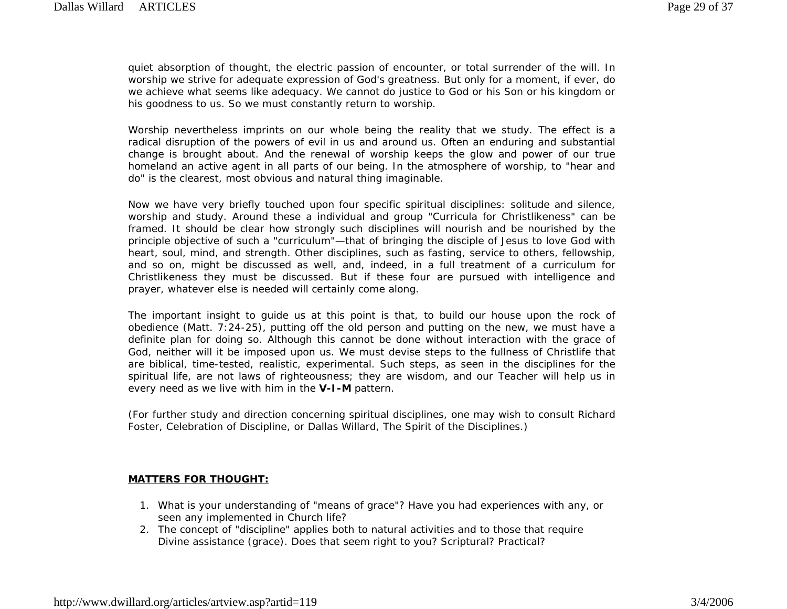quiet absorption of thought, the electric passion of encounter, or total surrender of the will. In worship we strive for adequate expression of God's greatness. But only for a moment, if ever, do we achieve what seems like adequacy. We cannot do justice to God or his Son or his kingdom or his goodness to us. So we must constantly return to worship.

Worship nevertheless imprints on our whole being the reality that we study. The effect is a radical disruption of the powers of evil in us and around us. Often an enduring and substantial change is brought about. And the renewal of worship keeps the glow and power of our true homeland an active agent in all parts of our being. *In the atmosphere of* worship, to "hear and do" is the clearest, most obvious and natural thing imaginable.

Now we have very briefly touched upon four specific spiritual disciplines: solitude and silence, worship and study. Around these a individual and group "Curricula for Christlikeness" can be framed. It should be clear how strongly such disciplines will nourish and be nourished by the principle objective of such a "curriculum"—that of bringing the disciple of Jesus to love God with heart, soul, mind, and strength. Other disciplines, such as fasting, service to others, fellowship, and so on, might be discussed as well, and, indeed, in a full treatment of a curriculum for Christlikeness they must be discussed. But if these four are pursued with intelligence and prayer, whatever else is needed will certainly come along.

The important insight to guide us at this point is that, to build our house upon the rock of obedience (Matt. 7:24-25), putting off the old person and putting on the new, we must have a definite plan for doing so. Although this cannot be done without interaction with the grace of God, neither will it be imposed upon us. We must devise steps to the fullness of Christlife that are biblical, time-tested, realistic, experimental. Such steps, as seen in the disciplines for the spiritual life, are not laws of righteousness; they are *wisdom*, and our Teacher will help us in every need as we live with him in the **V-I-M** pattern.

(For further study and direction concerning spiritual disciplines, one may wish to consult Richard Foster, *Celebration of Discipline*, or Dallas Willard, *The Spirit of the Disciplines*.)

### **MATTERS FOR THOUGHT:**

- 1. What is your understanding of "means of grace"? Have you had experiences with any, or seen any implemented in Church life?
- 2. The concept of "discipline" applies both to natural activities and to those that require Divine assistance (grace). Does that seem right to you? Scriptural? Practical?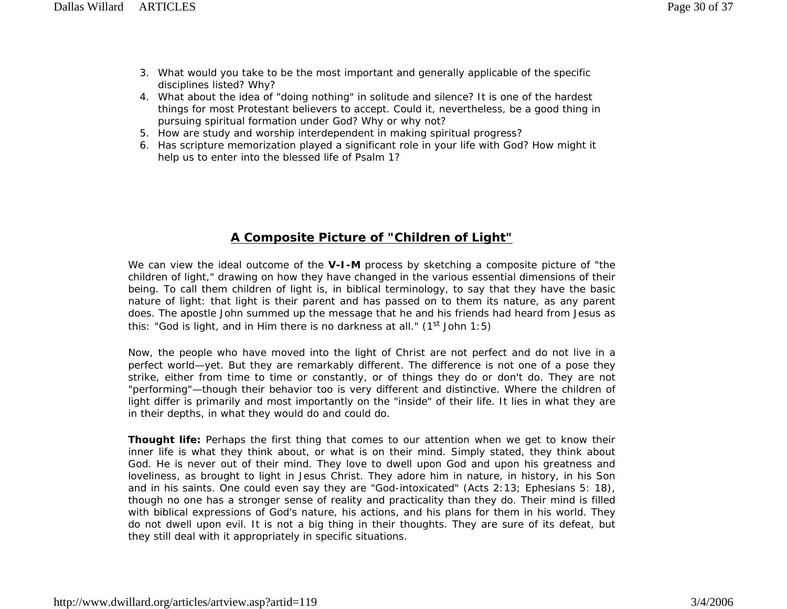- 3. What would you take to be the most important and generally applicable of the specific disciplines listed? Why?
- 4. What about the idea of "doing nothing" in solitude and silence? It is one of the hardest things for most Protestant believers to accept. Could it, nevertheless, be a good thing in pursuing spiritual formation under God? Why or why not?
- 5. How are study and worship interdependent in making spiritual progress?
- 6. Has scripture memorization played a significant role in your life with God? How might it help us to enter into the blessed life of Psalm 1?

# **A Composite Picture of "Children of Light"**

We can view the ideal outcome of the **V-I-M** process by sketching a composite picture of "the children of light," drawing on how they have changed in the various essential dimensions of their being. To call them *children* of light is, in biblical terminology, to say that they have the basic nature of light: that light is their parent and has passed on to them its nature, as any parent does. The apostle John summed up the message that he and his friends had heard from Jesus as this: "God is light, and in Him there is no darkness at all." ( $1<sup>st</sup>$  John 1:5)

Now, the people who have moved into the light of Christ are not perfect and do not live in a perfect world—yet. But they are remarkably different. The difference is not one of a pose they strike, either from time to time or constantly, or of things they do or don't do. They are not "performing"—though their behavior too is very different and distinctive. Where the children of light differ is primarily and most importantly on the "inside" of their life. It lies in what they are in their depths, in what they would do and could do.

**Thought life:** Perhaps the first thing that comes to our attention when we get to know their inner life is what they think about, or what is on their mind. Simply stated, they think about God. He is never out of their mind. They love to dwell upon God and upon his greatness and loveliness, as brought to light in Jesus Christ. They adore him in nature, in history, in his Son and in his saints. One could even say they are "God-intoxicated" (Acts 2:13; Ephesians 5: 18), though no one has a stronger sense of reality and practicality than they do. Their mind is filled with biblical expressions of God's nature, his actions, and his plans for them in his world. They do not dwell upon evil. It is not a big thing in their thoughts. They are sure of its defeat, but they still deal with it appropriately in specific situations.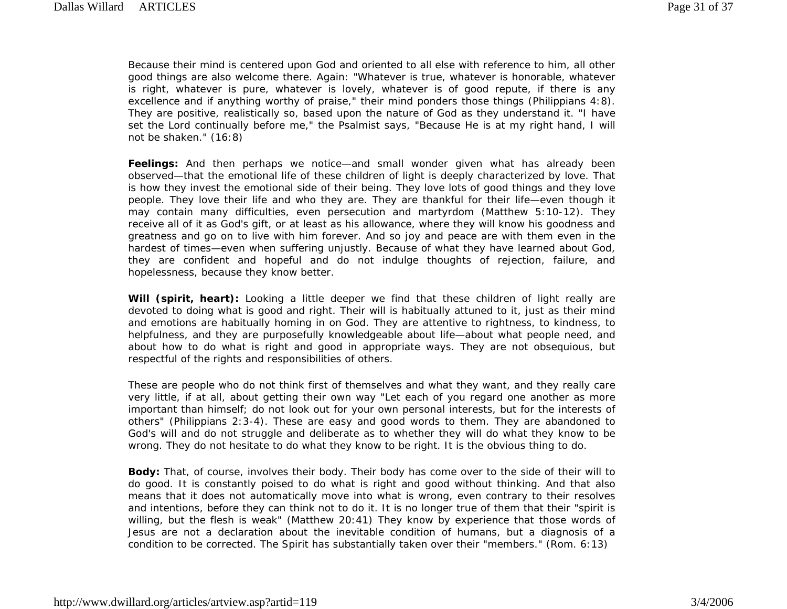Because their mind is centered upon God and oriented to all else with reference to him, all other good things are also welcome there. Again: "Whatever is true, whatever is honorable, whatever is right, whatever is pure, whatever is lovely, whatever is of good repute, if there is any excellence and if anything worthy of praise," their mind ponders those things (Philippians 4:8). They are positive, realistically so, based upon the nature of God as they understand it. "I have set the Lord continually before me," the Psalmist says, "Because He is at my right hand, I will not be shaken." (16:8)

*Feelings***:** And then perhaps we notice—and small wonder given what has already been observed—that the emotional life of these children of light is deeply characterized by love. That is how they invest the emotional side of their being. They love lots of good things and they love people. They love their life and who they are. They are thankful for their life—even though it may contain many difficulties, even persecution and martyrdom (Matthew 5:10-12). They receive all of it as God's gift, or at least as his allowance, where they will know his goodness and greatness and go on to live with him forever. And so joy and peace are with them even in the hardest of times—even when suffering unjustly. Because of what they have learned about God, they are confident and hopeful and do not indulge thoughts of rejection, failure, and hopelessness, because *they know better.*

**Will (spirit, heart):** Looking a little deeper we find that these children of light really are devoted to doing what is good and right. Their will is habitually attuned to it, just as their mind and emotions are habitually homing in on God. They are attentive to rightness, to kindness, to helpfulness, and they are purposefully knowledgeable about life—about what people need, and about how to do what is right and good in appropriate ways. They are not obsequious, but respectful of the rights and responsibilities of others.

These are people who do not think first of themselves and what they want, and they really care very little, if at all, about getting their own way "Let each of you regard one another as more important than himself; do not look out for your own personal interests, but for the interests of others" (Philippians 2:3-4). These are easy and good words to them. They are abandoned to God's will and do not struggle and deliberate as to whether they will do what they know to be wrong. They do not hesitate to do what they know to be right. It is the obvious thing to do.

*Body:* That, of course, involves their body. Their body has come over to the side of their will to do good. It is constantly *poised* to do what is right and good without thinking. And that also means that it does not automatically move into what is wrong, even contrary to their resolves and intentions, before they can think *not* to do it. It is no longer true of them that their "spirit is willing, but the flesh is weak" (Matthew 20:41) They know by experience that those words of Jesus are not a declaration about the inevitable condition of humans, but a diagnosis of a condition to be corrected. The Spirit has substantially taken over their "members." (Rom. 6:13)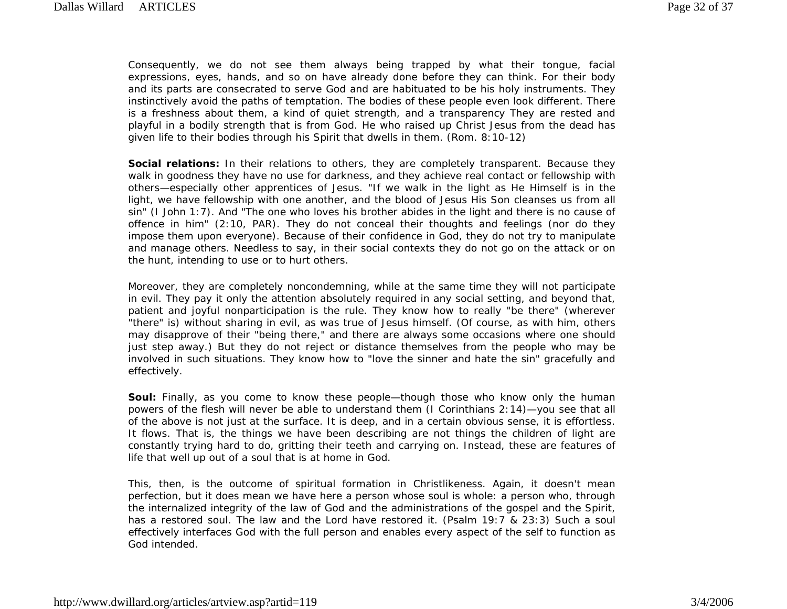Consequently, we do not see them always being trapped by what their tongue, facial expressions, eyes, hands, and so on have *already* done before they can think. For their body and its parts are consecrated to serve God and are habituated to be his holy instruments. They instinctively avoid the paths of temptation. The bodies of these people even *look* different. There is a freshness about them, a kind of quiet strength, and a transparency They are rested and playful in a bodily strength that is from God. He who raised up Christ Jesus from the dead has given life to their bodies through his Spirit that dwells in them. (Rom. 8:10-12)

**Social relations:** In their relations to others, they are completely transparent. Because they walk in goodness they have no use for darkness, and they achieve real contact or fellowship with others—especially other apprentices of Jesus. "If we walk in the light as He Himself is in the light, we have fellowship with one another, and the blood of Jesus His Son cleanses us from all sin" (I John 1:7). And "The one who loves his brother abides in the light and there is no cause of offence in him" (2:10, PAR). They do not conceal their thoughts and feelings (nor do they impose them upon everyone). Because of their confidence in God, they do not try to manipulate and manage others. Needless to say, in their social contexts they do not go on the attack or on the hunt, intending to use or to hurt others.

Moreover, they are completely noncondemning, while at the same time they will not participate in evil. They pay it only the attention absolutely required in any social setting, and beyond that, patient and joyful nonparticipation is the rule. They know how to really "be there" (wherever "there" is) without sharing in evil, as was true of Jesus himself. (Of course, as with him, others may disapprove of their "being there," and there are always some occasions where one should just step away.) But they do not reject or distance themselves from the people who may be involved in such situations. They know how to "love the sinner and hate the sin" gracefully and effectively.

**Soul:** Finally, as you come to know these people—though those who know only the human powers of the flesh will never be able to understand them (I Corinthians 2:14)—you see that all of the above is not just at the surface. It is deep, and in a certain obvious sense, it is effortless. It *flows*. That is, the things we have been describing are not things the children of light are constantly trying hard to do, gritting their teeth and carrying on. Instead, these are features of life that well up out of a soul that is at home in God.

This, then, is the outcome of spiritual formation in Christlikeness. Again, it doesn't mean perfection, but it does mean we have here a person whose soul is whole: a person who, through the internalized integrity of the law of God and the administrations of the gospel and the Spirit, has a restored soul. The law and the Lord have restored it. (Psalm 19:7 & 23:3) Such a soul effectively interfaces God with the full person and enables every aspect of the self to function as God intended.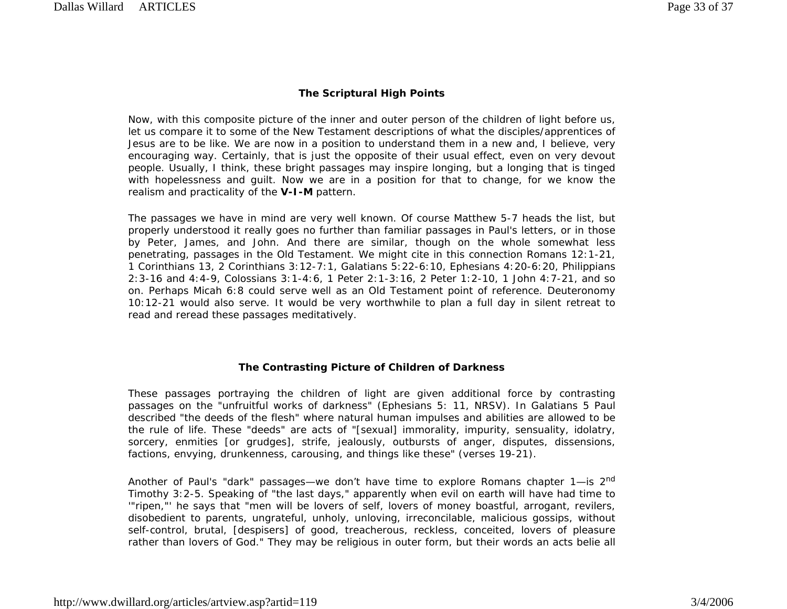## **The Scriptural High Points**

Now, with this composite picture of the inner and outer person of the children of light before us, let us compare it to some of the New Testament descriptions of what the disciples/apprentices of Jesus are to be like. We are now in a position to understand them in a new and, I believe, very encouraging way. Certainly, that is just the opposite of their usual effect, even on very devout people. Usually, I think, these bright passages may inspire longing, but a longing that is tinged with hopelessness and guilt. Now we are in a position for that to change, for we know the realism and practicality of the **V-I-M** pattern.

The passages we have in mind are very well known. Of course Matthew 5-7 heads the list, but properly understood it really goes no further than familiar passages in Paul's letters, or in those by Peter, James, and John. And there are similar, though on the whole somewhat less penetrating, passages in the Old Testament. We might cite in this connection Romans 12:1-21, 1 Corinthians 13, 2 Corinthians 3:12-7:1, Galatians 5:22-6:10, Ephesians 4:20-6:20, Philippians 2:3-16 and 4:4-9, Colossians 3:1-4:6, 1 Peter 2:1-3:16, 2 Peter 1:2-10, 1 John 4:7-21, and so on. Perhaps Micah 6:8 could serve well as an Old Testament point of reference. Deuteronomy 10:12-21 would also serve. It would be very worthwhile to plan a full day in silent retreat to read and reread these passages meditatively.

### **The Contrasting Picture of Children of Darkness**

These passages portraying the children of light are given additional force by contrasting passages on the "unfruitful works of darkness" (Ephesians 5: 11, NRSV). In Galatians 5 Paul described "the deeds of the flesh" where natural human impulses and abilities are allowed to be the rule of life. These "deeds" are acts of "[sexual] immorality, impurity, sensuality, idolatry, sorcery, enmities [or grudges], strife, jealously, outbursts of anger, disputes, dissensions, factions, envying, drunkenness, carousing, and things like these" (verses 19-21).

Another of Paul's "dark" passages—we don't have time to explore Romans chapter 1—is 2<sup>nd</sup> Timothy 3:2-5. Speaking of "the last days," apparently when evil on earth will have had time to '"ripen,"' he says that "men will be lovers of self, lovers of money boastful, arrogant, revilers, disobedient to parents, ungrateful, unholy, unloving, irreconcilable, malicious gossips, without self-control, brutal, [despisers] of good, treacherous, reckless, conceited, lovers of pleasure rather than lovers of God." They may be religious in outer form, but their words an acts belie all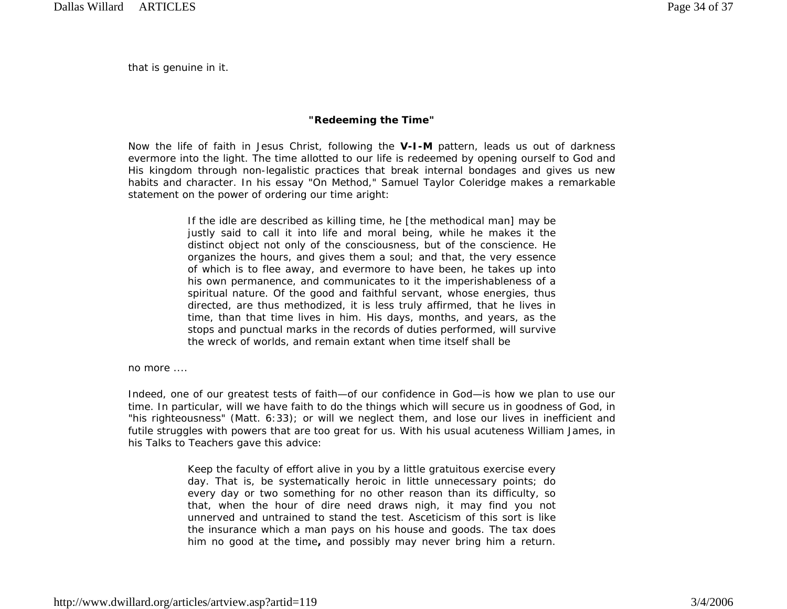that is genuine in it.

### **"Redeeming the Time"**

Now the life of faith in Jesus Christ, following the **V-I-M** pattern, leads us out of darkness evermore into the light. The time allotted to our life is redeemed by opening ourself to God and His kingdom through non-legalistic practices that break internal bondages and gives us new habits and character. In his essay "On Method," Samuel Taylor Coleridge makes a remarkable statement on the power of ordering our time aright:

> If the idle are described as killing time, he [the methodical man] may be justly said to call it into life and moral being, while he makes it the distinct object not only of the consciousness, but of the conscience. He organizes the hours, and gives them a soul; and that, the very essence of which is to flee away, and evermore to have been, he takes up into his own permanence, and communicates to it the imperishableness of a spiritual nature. Of the good and faithful servant, whose energies, thus directed, are thus methodized, it is less truly affirmed, that he lives in time, than that time lives in him. His days, months*,* and years, as the stops and punctual marks in the records of duties performed, will survive the wreck of worlds, and remain extant when time itself shall be

no more ....

Indeed, one of our greatest tests of faith—of our confidence in God—is how we plan to use our time. In particular, will we have faith to do the things which will secure us in goodness of God, in "his righteousness" (Matt. 6:33); or will we neglect them, and lose our lives in inefficient and futile struggles with powers that are too great for us. With his usual acuteness William James, in his *Talks to Teachers* gave this advice:

> Keep the faculty of effort alive in you by a little gratuitous exercise every day. That is, be systematically heroic in little unnecessary points; do every day or two something for no other reason than its difficulty, so that, when the hour of dire need draws nigh, it may find you not unnerved and untrained to stand the test. Asceticism of this sort is like the insurance which a man pays on his house and goods. The tax does him no good at the time**,** and possibly may never bring him a return.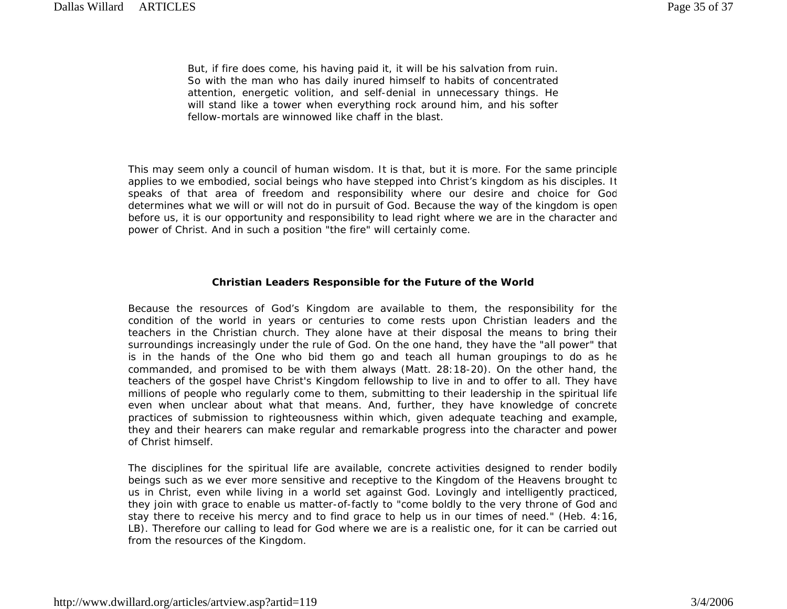But, if fire does come, his having paid it, it will be his salvation from ruin. So with the man who has daily inured himself to habits of concentrated attention, energetic volition, and self-denial in unnecessary things. He will stand like a tower when everything rock around him, and his softer fellow-mortals are winnowed like chaff in the blast.

This may seem only a council of human wisdom. It *is* that, but it is more. For the same principle applies to we embodied, social beings who have stepped into Christ's kingdom as his disciples. It speaks of that area of freedom and responsibility where our desire and choice for God determines what we will or will not do in pursuit of God. Because the way of the kingdom is open before us, it is our opportunity and responsibility *to lead right where we are in the character and power of Christ.* And in such a position "the fire" will certainly come.

### **Christian Leaders Responsible for the Future of the World**

Because the resources of God's Kingdom are available to them, the responsibility for the condition of the world in years or centuries to come rests upon Christian leaders and the teachers in the Christian church. They alone have at their disposal the *means* to bring their surroundings increasingly under the rule of God. On the one hand, they have the "all power" that is in the hands of the One who bid them go and teach all human groupings to do as he commanded, and promised to be with them always (Matt. 28:18-20). On the other hand, the teachers of the gospel have Christ's Kingdom fellowship to live in and to offer to all. They have millions of people who regularly come to them, submitting to their leadership in the spiritual life even when unclear about what that means. And, further, they have knowledge of concrete practices of submission to righteousness within which, given adequate teaching and example, they and their hearers can make regular and remarkable progress into the character and power of Christ himself.

The disciplines for the spiritual life are available, concrete activities designed to render bodily beings such as we ever more sensitive and receptive to the Kingdom of the Heavens brought to us in Christ, *even while living in a world set against God*. Lovingly and intelligently practiced, they join with grace to enable us matter-of-factly to "come boldly to the very throne of God and stay there to receive his mercy and to find grace to help us in our times of need." (Heb. 4:16, LB). Therefore our calling to lead for God where we are is a realistic one, for it can be carried out from the resources of the Kingdom.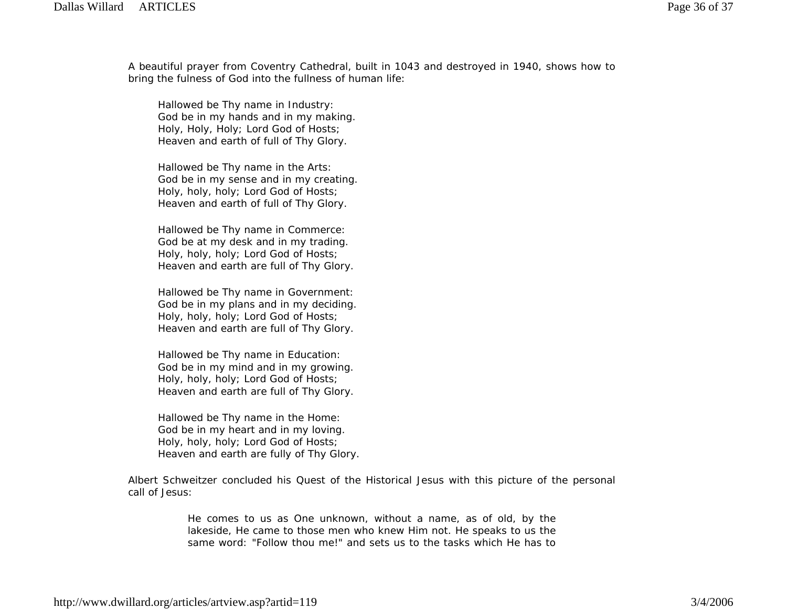A beautiful prayer from Coventry Cathedral, built in 1043 and destroyed in 1940, shows how to bring the fulness of God into the fullness of human life:

Hallowed be Thy name in Industry: God be in my hands and in my making. Holy, Holy, Holy; Lord God of Hosts; Heaven and earth of full of Thy Glory.

Hallowed be Thy name in the Arts: God be in my sense and in my creating. Holy, holy, holy; Lord God of Hosts; Heaven and earth of full of Thy Glory.

Hallowed be Thy name in Commerce: God be at my desk and in my trading. Holy, holy, holy; Lord God of Hosts; Heaven and earth are full of Thy Glory.

Hallowed be Thy name in Government: God be in my plans and in my deciding. Holy, holy, holy; Lord God of Hosts; Heaven and earth are full of Thy Glory.

Hallowed be Thy name in Education: God be in my mind and in my growing. Holy, holy, holy; Lord God of Hosts; Heaven and earth are full of Thy Glory.

Hallowed be Thy name in the Home: God be in my heart and in my loving. Holy, holy, holy; Lord God of Hosts; Heaven and earth are fully of Thy Glory.

Albert Schweitzer concluded his *Quest of the Historical Jesus* with this picture of the personal call of Jesus:

> He comes to us as One unknown, without a name, as of old, by the lakeside, He came to those men who knew Him not. He speaks to us the same word: "Follow thou me!" and sets us to the tasks which He has to